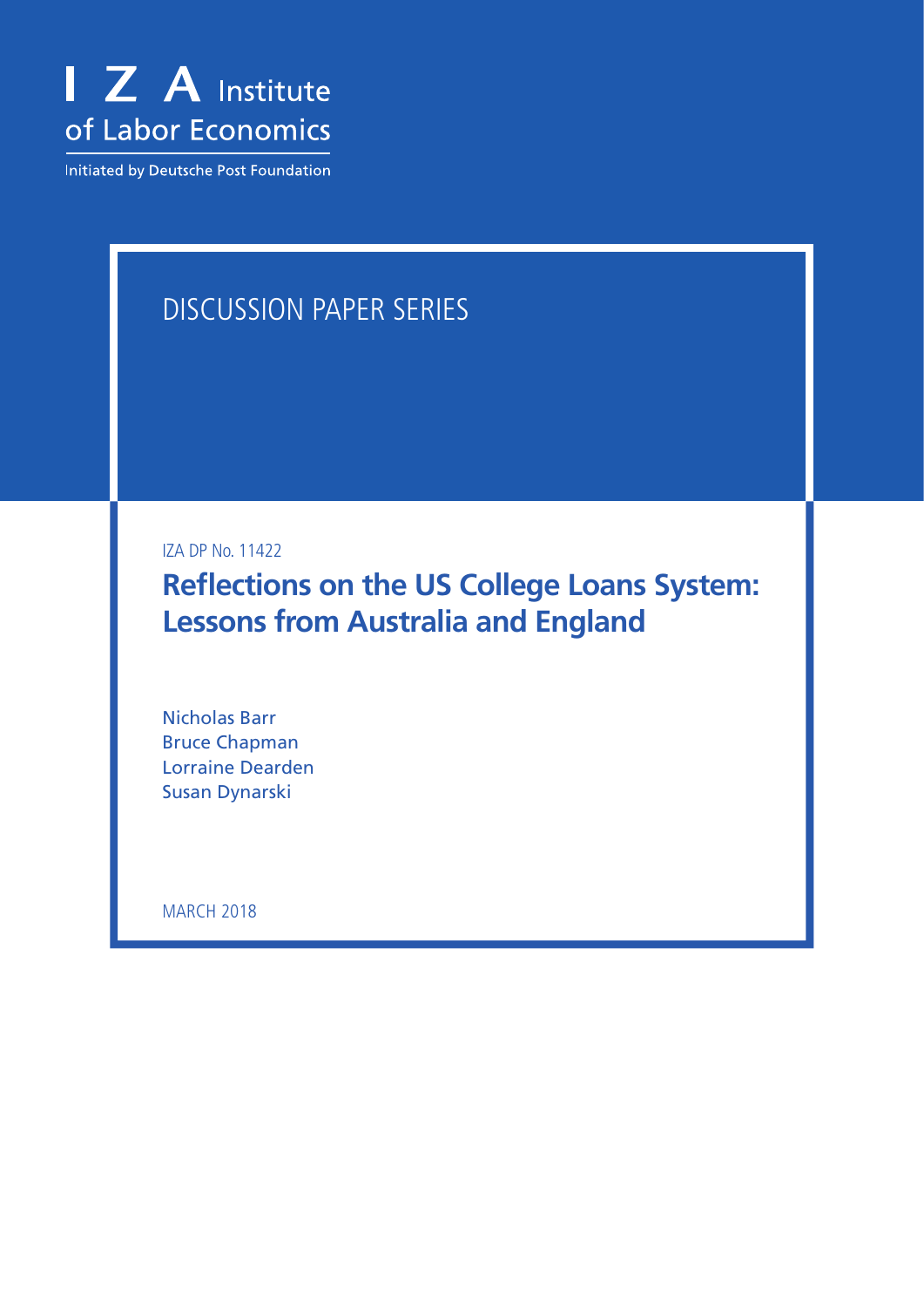

Initiated by Deutsche Post Foundation

# DISCUSSION PAPER SERIES

IZA DP No. 11422

**Reflections on the US College Loans System: Lessons from Australia and England**

Nicholas Barr Bruce Chapman Lorraine Dearden Susan Dynarski

**MARCH 2018**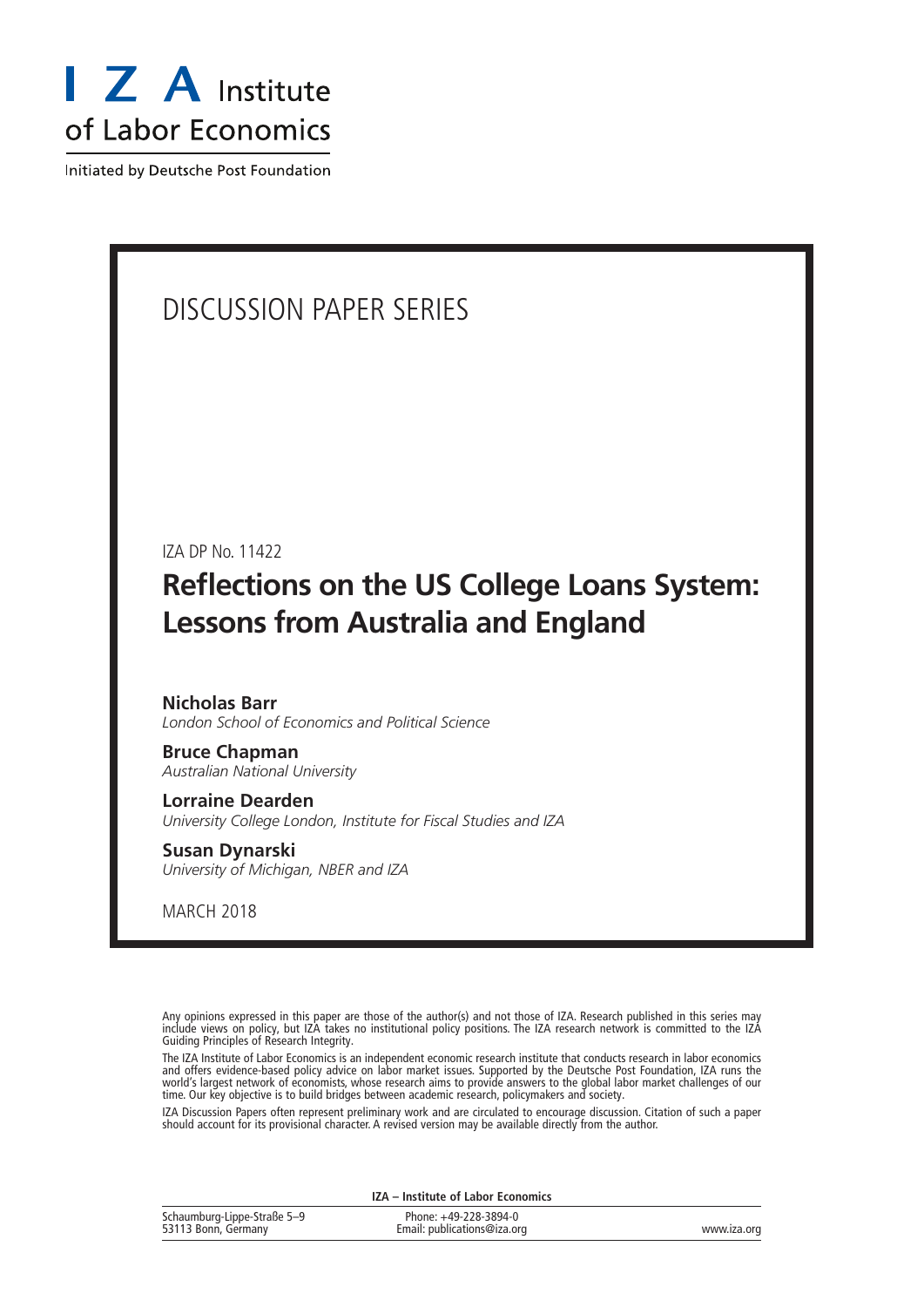

Initiated by Deutsche Post Foundation

# DISCUSSION PAPER SERIES

IZA DP No. 11422

# **Reflections on the US College Loans System: Lessons from Australia and England**

**Nicholas Barr** *London School of Economics and Political Science*

**Bruce Chapman** *Australian National University*

**Lorraine Dearden** *University College London, Institute for Fiscal Studies and IZA*

**Susan Dynarski** *University of Michigan, NBER and IZA*

MARCH 2018

Any opinions expressed in this paper are those of the author(s) and not those of IZA. Research published in this series may include views on policy, but IZA takes no institutional policy positions. The IZA research network is committed to the IZA Guiding Principles of Research Integrity.

The IZA Institute of Labor Economics is an independent economic research institute that conducts research in labor economics and offers evidence-based policy advice on labor market issues. Supported by the Deutsche Post Foundation, IZA runs the world's largest network of economists, whose research aims to provide answers to the global labor market challenges of our time. Our key objective is to build bridges between academic research, policymakers and society.

IZA Discussion Papers often represent preliminary work and are circulated to encourage discussion. Citation of such a paper should account for its provisional character. A revised version may be available directly from the author.

| <b>IZA</b> – Institute of Labor Economics          |                                                      |             |
|----------------------------------------------------|------------------------------------------------------|-------------|
| Schaumburg-Lippe-Straße 5-9<br>53113 Bonn, Germany | Phone: +49-228-3894-0<br>Email: publications@iza.org | www.iza.org |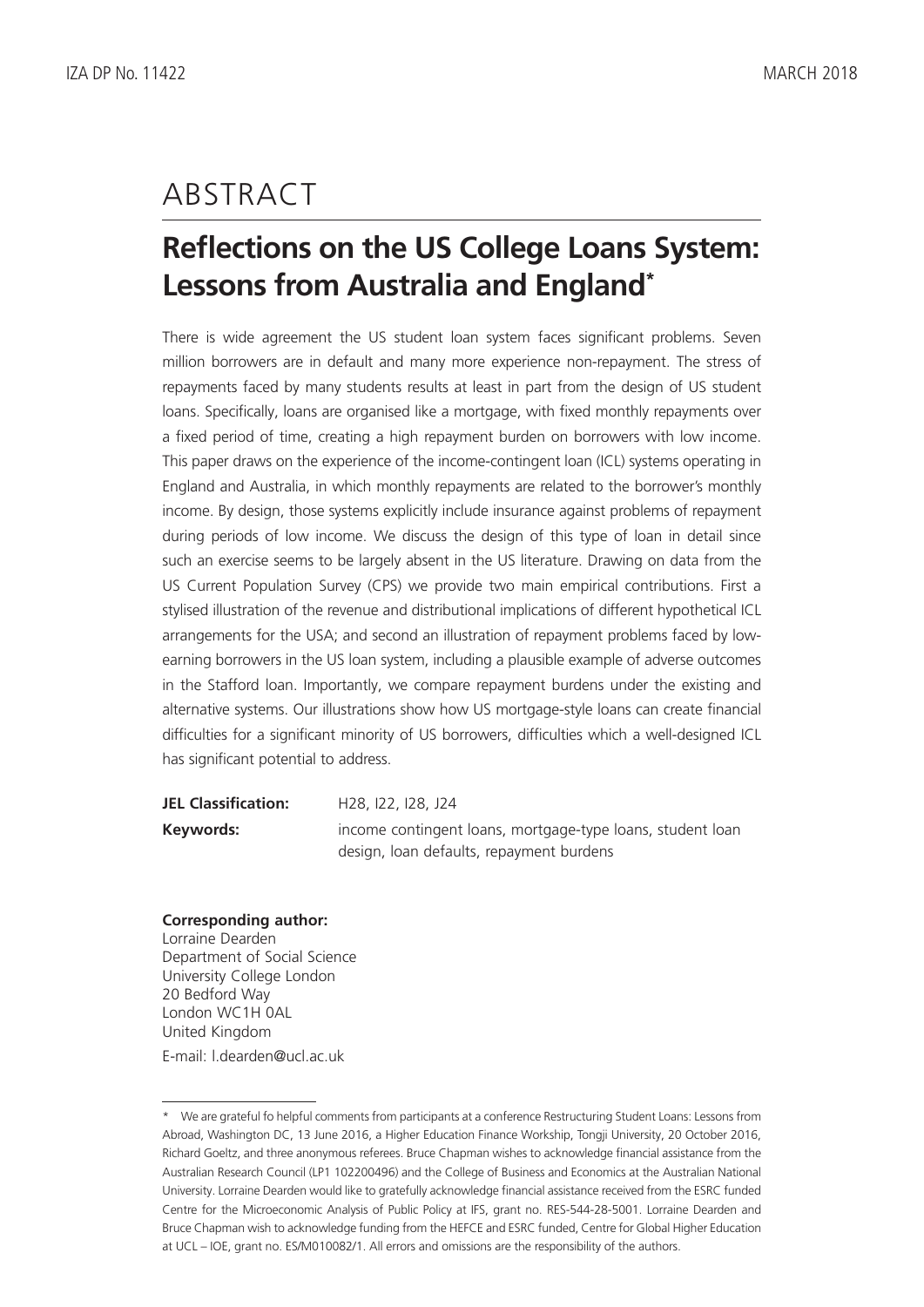# ABSTRACT

# **Reflections on the US College Loans System: Lessons from Australia and England\***

There is wide agreement the US student loan system faces significant problems. Seven million borrowers are in default and many more experience non-repayment. The stress of repayments faced by many students results at least in part from the design of US student loans. Specifically, loans are organised like a mortgage, with fixed monthly repayments over a fixed period of time, creating a high repayment burden on borrowers with low income. This paper draws on the experience of the income-contingent loan (ICL) systems operating in England and Australia, in which monthly repayments are related to the borrower's monthly income. By design, those systems explicitly include insurance against problems of repayment during periods of low income. We discuss the design of this type of loan in detail since such an exercise seems to be largely absent in the US literature. Drawing on data from the US Current Population Survey (CPS) we provide two main empirical contributions. First a stylised illustration of the revenue and distributional implications of different hypothetical ICL arrangements for the USA; and second an illustration of repayment problems faced by lowearning borrowers in the US loan system, including a plausible example of adverse outcomes in the Stafford loan. Importantly, we compare repayment burdens under the existing and alternative systems. Our illustrations show how US mortgage-style loans can create financial difficulties for a significant minority of US borrowers, difficulties which a well-designed ICL has significant potential to address.

| <b>JEL Classification:</b> | H <sub>28</sub> , 122, 128, J <sub>24</sub>                |
|----------------------------|------------------------------------------------------------|
| Keywords:                  | income contingent loans, mortgage-type loans, student loan |
|                            | design, loan defaults, repayment burdens                   |

#### **Corresponding author:**

Lorraine Dearden Department of Social Science University College London 20 Bedford Way London WC1H 0AL United Kingdom E-mail: l.dearden@ucl.ac.uk

<sup>\*</sup> We are grateful fo helpful comments from participants at a conference Restructuring Student Loans: Lessons from Abroad, Washington DC, 13 June 2016, a Higher Education Finance Workship, Tongji University, 20 October 2016, Richard Goeltz, and three anonymous referees. Bruce Chapman wishes to acknowledge financial assistance from the Australian Research Council (LP1 102200496) and the College of Business and Economics at the Australian National University. Lorraine Dearden would like to gratefully acknowledge financial assistance received from the ESRC funded Centre for the Microeconomic Analysis of Public Policy at IFS, grant no. RES-544-28-5001. Lorraine Dearden and Bruce Chapman wish to acknowledge funding from the HEFCE and ESRC funded, Centre for Global Higher Education at UCL – IOE, grant no. ES/M010082/1. All errors and omissions are the responsibility of the authors.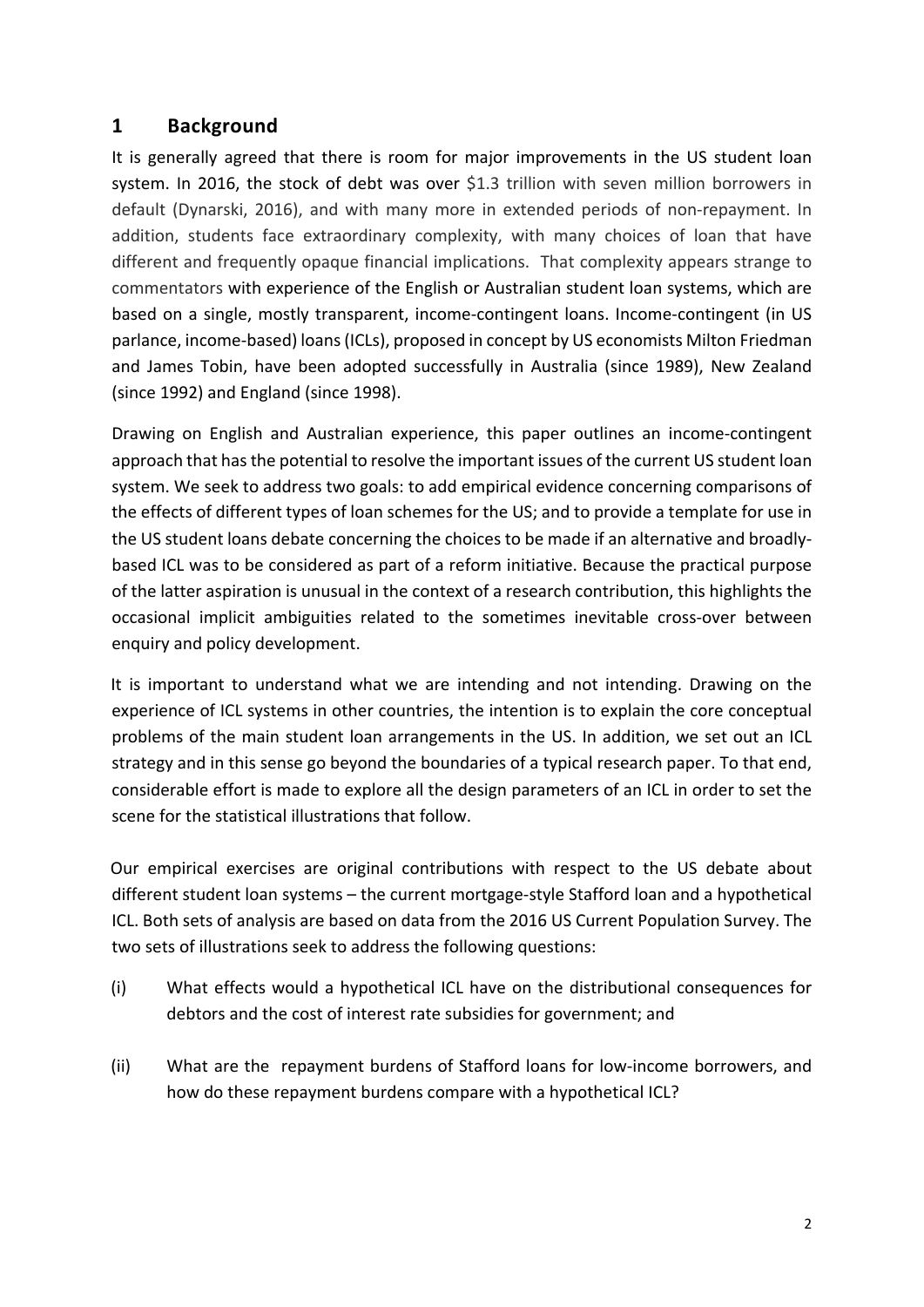# **1 Background**

It is generally agreed that there is room for major improvements in the US student loan system. In 2016, the stock of debt was over \$1.3 trillion with seven million borrowers in default (Dynarski, 2016), and with many more in extended periods of non-repayment. In addition, students face extraordinary complexity, with many choices of loan that have different and frequently opaque financial implications. That complexity appears strange to commentators with experience of the English or Australian student loan systems, which are based on a single, mostly transparent, income-contingent loans. Income-contingent (in US parlance, income-based) loans (ICLs), proposed in concept by US economists Milton Friedman and James Tobin, have been adopted successfully in Australia (since 1989), New Zealand (since 1992) and England (since 1998).

Drawing on English and Australian experience, this paper outlines an income-contingent approach that has the potential to resolve the important issues of the current US student loan system. We seek to address two goals: to add empirical evidence concerning comparisons of the effects of different types of loan schemes for the US; and to provide a template for use in the US student loans debate concerning the choices to be made if an alternative and broadlybased ICL was to be considered as part of a reform initiative. Because the practical purpose of the latter aspiration is unusual in the context of a research contribution, this highlights the occasional implicit ambiguities related to the sometimes inevitable cross-over between enquiry and policy development.

It is important to understand what we are intending and not intending. Drawing on the experience of ICL systems in other countries, the intention is to explain the core conceptual problems of the main student loan arrangements in the US. In addition, we set out an ICL strategy and in this sense go beyond the boundaries of a typical research paper. To that end, considerable effort is made to explore all the design parameters of an ICL in order to set the scene for the statistical illustrations that follow.

Our empirical exercises are original contributions with respect to the US debate about different student loan systems – the current mortgage-style Stafford loan and a hypothetical ICL. Both sets of analysis are based on data from the 2016 US Current Population Survey. The two sets of illustrations seek to address the following questions:

- (i) What effects would a hypothetical ICL have on the distributional consequences for debtors and the cost of interest rate subsidies for government; and
- (ii) What are the repayment burdens of Stafford loans for low-income borrowers, and how do these repayment burdens compare with a hypothetical ICL?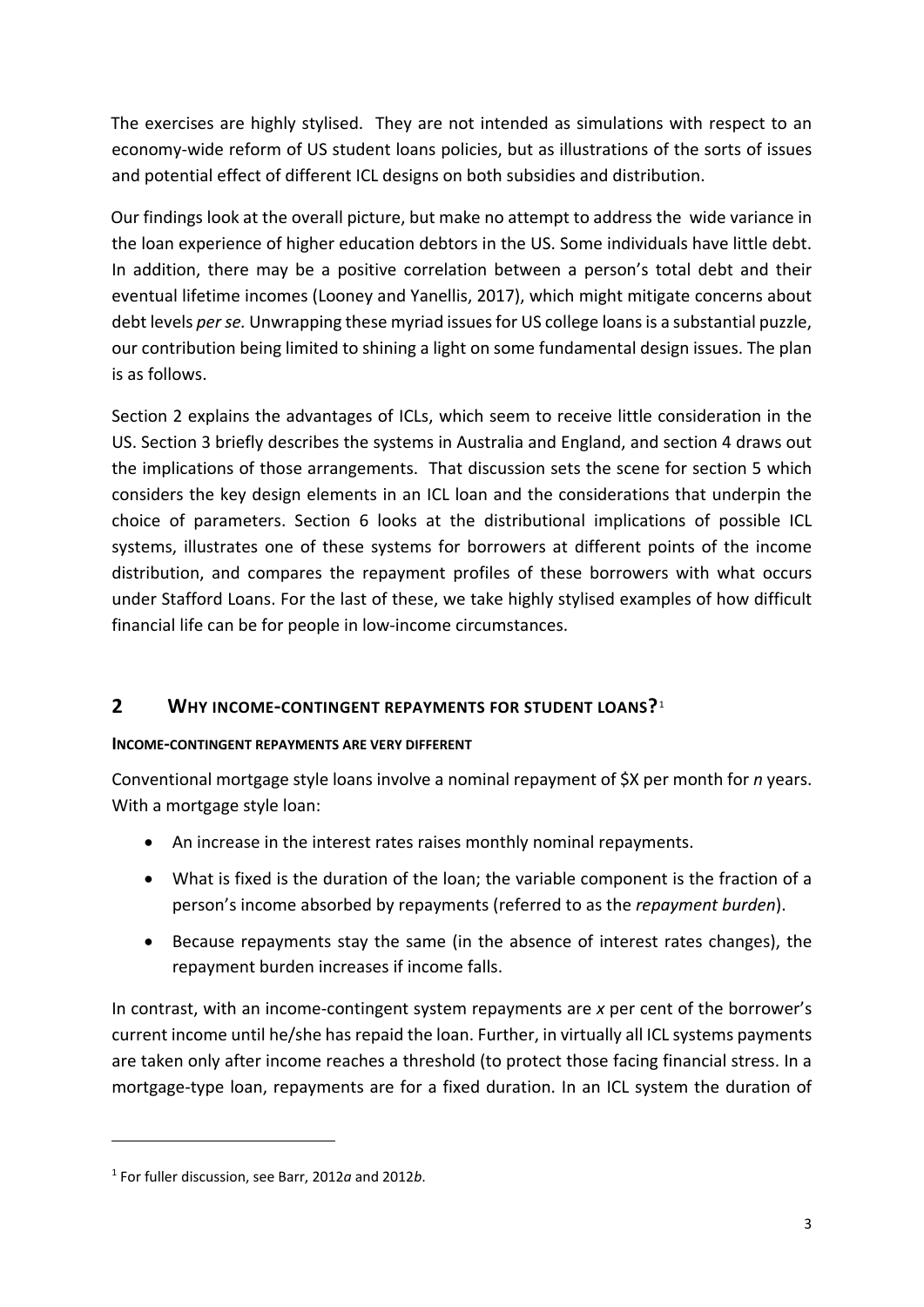The exercises are highly stylised. They are not intended as simulations with respect to an economy-wide reform of US student loans policies, but as illustrations of the sorts of issues and potential effect of different ICL designs on both subsidies and distribution.

Our findings look at the overall picture, but make no attempt to address the wide variance in the loan experience of higher education debtors in the US. Some individuals have little debt. In addition, there may be a positive correlation between a person's total debt and their eventual lifetime incomes (Looney and Yanellis, 2017), which might mitigate concerns about debt levels *per se.* Unwrapping these myriad issues for US college loans is a substantial puzzle, our contribution being limited to shining a light on some fundamental design issues. The plan is as follows.

Section 2 explains the advantages of ICLs, which seem to receive little consideration in the US. Section 3 briefly describes the systems in Australia and England, and section 4 draws out the implications of those arrangements. That discussion sets the scene for section 5 which considers the key design elements in an ICL loan and the considerations that underpin the choice of parameters. Section 6 looks at the distributional implications of possible ICL systems, illustrates one of these systems for borrowers at different points of the income distribution, and compares the repayment profiles of these borrowers with what occurs under Stafford Loans. For the last of these, we take highly stylised examples of how difficult financial life can be for people in low-income circumstances.

# **2 WHY INCOME-CONTINGENT REPAYMENTS FOR STUDENT LOANS?**[1](#page-4-0)

## **INCOME-CONTINGENT REPAYMENTS ARE VERY DIFFERENT**

Conventional mortgage style loans involve a nominal repayment of \$X per month for *n* years. With a mortgage style loan:

- An increase in the interest rates raises monthly nominal repayments.
- What is fixed is the duration of the loan; the variable component is the fraction of a person's income absorbed by repayments (referred to as the *repayment burden*).
- Because repayments stay the same (in the absence of interest rates changes), the repayment burden increases if income falls.

In contrast, with an income-contingent system repayments are *x* per cent of the borrower's current income until he/she has repaid the loan. Further, in virtually all ICL systems payments are taken only after income reaches a threshold (to protect those facing financial stress. In a mortgage-type loan, repayments are for a fixed duration. In an ICL system the duration of

1

<span id="page-4-0"></span><sup>1</sup> For fuller discussion, see Barr, 2012*a* and 2012*b*.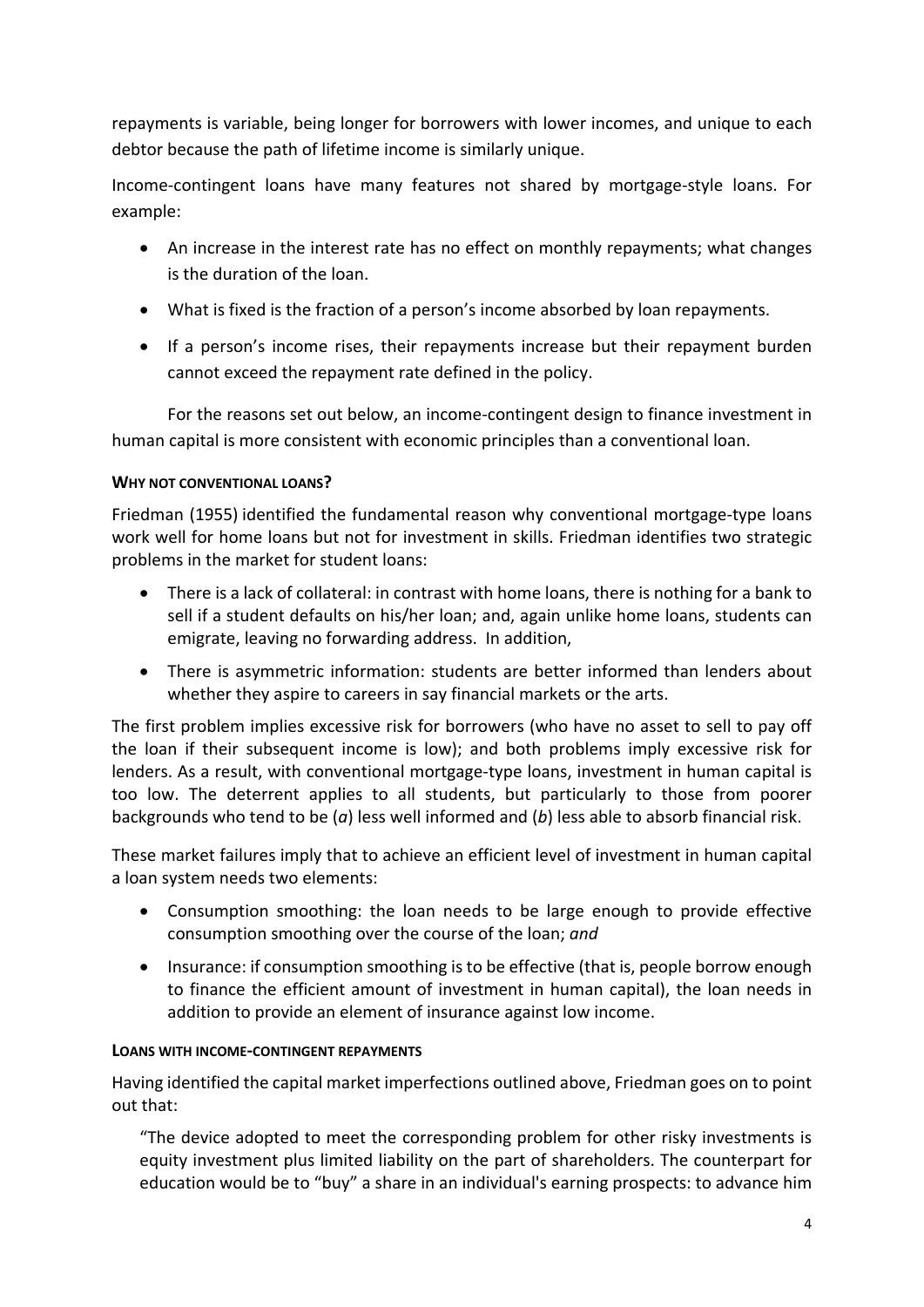repayments is variable, being longer for borrowers with lower incomes, and unique to each debtor because the path of lifetime income is similarly unique.

Income-contingent loans have many features not shared by mortgage-style loans. For example:

- An increase in the interest rate has no effect on monthly repayments; what changes is the duration of the loan.
- What is fixed is the fraction of a person's income absorbed by loan repayments.
- If a person's income rises, their repayments increase but their repayment burden cannot exceed the repayment rate defined in the policy.

For the reasons set out below, an income-contingent design to finance investment in human capital is more consistent with economic principles than a conventional loan.

## **WHY NOT CONVENTIONAL LOANS?**

Friedman (1955) identified the fundamental reason why conventional mortgage-type loans work well for home loans but not for investment in skills. Friedman identifies two strategic problems in the market for student loans:

- There is a lack of collateral: in contrast with home loans, there is nothing for a bank to sell if a student defaults on his/her loan; and, again unlike home loans, students can emigrate, leaving no forwarding address. In addition,
- There is asymmetric information: students are better informed than lenders about whether they aspire to careers in say financial markets or the arts.

The first problem implies excessive risk for borrowers (who have no asset to sell to pay off the loan if their subsequent income is low); and both problems imply excessive risk for lenders. As a result, with conventional mortgage-type loans, investment in human capital is too low. The deterrent applies to all students, but particularly to those from poorer backgrounds who tend to be (*a*) less well informed and (*b*) less able to absorb financial risk.

These market failures imply that to achieve an efficient level of investment in human capital a loan system needs two elements:

- Consumption smoothing: the loan needs to be large enough to provide effective consumption smoothing over the course of the loan; *and*
- Insurance: if consumption smoothing is to be effective (that is, people borrow enough to finance the efficient amount of investment in human capital), the loan needs in addition to provide an element of insurance against low income.

## **LOANS WITH INCOME-CONTINGENT REPAYMENTS**

Having identified the capital market imperfections outlined above, Friedman goes on to point out that:

"The device adopted to meet the corresponding problem for other risky investments is equity investment plus limited liability on the part of shareholders. The counterpart for education would be to "buy" a share in an individual's earning prospects: to advance him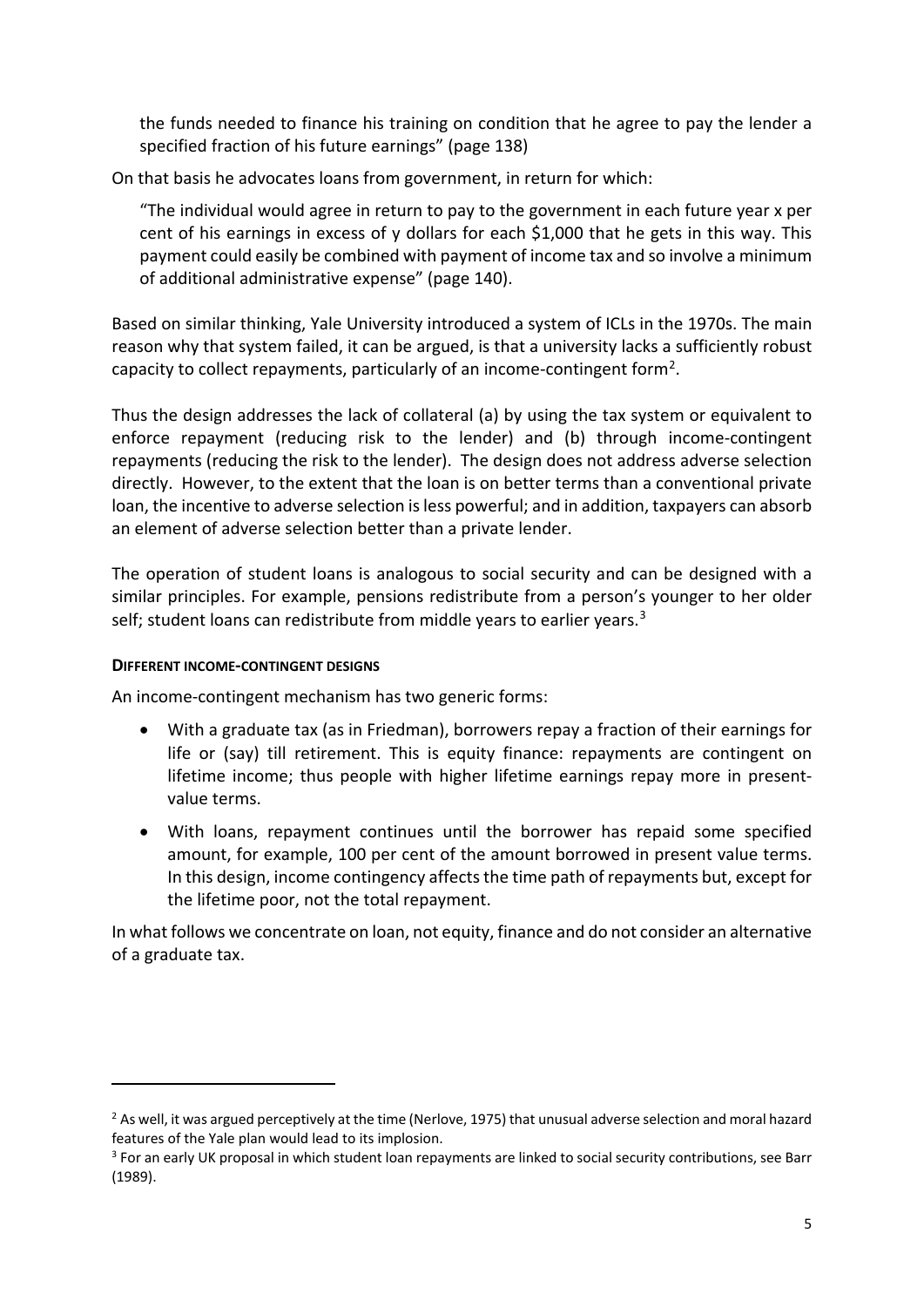the funds needed to finance his training on condition that he agree to pay the lender a specified fraction of his future earnings" (page 138)

On that basis he advocates loans from government, in return for which:

"The individual would agree in return to pay to the government in each future year x per cent of his earnings in excess of y dollars for each \$1,000 that he gets in this way. This payment could easily be combined with payment of income tax and so involve a minimum of additional administrative expense" (page 140).

Based on similar thinking, Yale University introduced a system of ICLs in the 1970s. The main reason why that system failed, it can be argued, is that a university lacks a sufficiently robust capacity to collect repayments, particularly of an income-contingent form<sup>[2](#page-6-0)</sup>.

Thus the design addresses the lack of collateral (a) by using the tax system or equivalent to enforce repayment (reducing risk to the lender) and (b) through income-contingent repayments (reducing the risk to the lender). The design does not address adverse selection directly. However, to the extent that the loan is on better terms than a conventional private loan, the incentive to adverse selection is less powerful; and in addition, taxpayers can absorb an element of adverse selection better than a private lender.

The operation of student loans is analogous to social security and can be designed with a similar principles. For example, pensions redistribute from a person's younger to her older self; student loans can redistribute from middle years to earlier years.<sup>[3](#page-6-1)</sup>

## **DIFFERENT INCOME-CONTINGENT DESIGNS**

1

An income-contingent mechanism has two generic forms:

- With a graduate tax (as in Friedman), borrowers repay a fraction of their earnings for life or (say) till retirement. This is equity finance: repayments are contingent on lifetime income; thus people with higher lifetime earnings repay more in presentvalue terms.
- With loans, repayment continues until the borrower has repaid some specified amount, for example, 100 per cent of the amount borrowed in present value terms. In this design, income contingency affects the time path of repayments but, except for the lifetime poor, not the total repayment.

In what follows we concentrate on loan, not equity, finance and do not consider an alternative of a graduate tax.

<span id="page-6-0"></span> $<sup>2</sup>$  As well, it was argued perceptively at the time (Nerlove, 1975) that unusual adverse selection and moral hazard</sup> features of the Yale plan would lead to its implosion.<br><sup>3</sup> For an early UK proposal in which student loan repayments are linked to social security contributions, see Barr

<span id="page-6-1"></span><sup>(1989).</sup>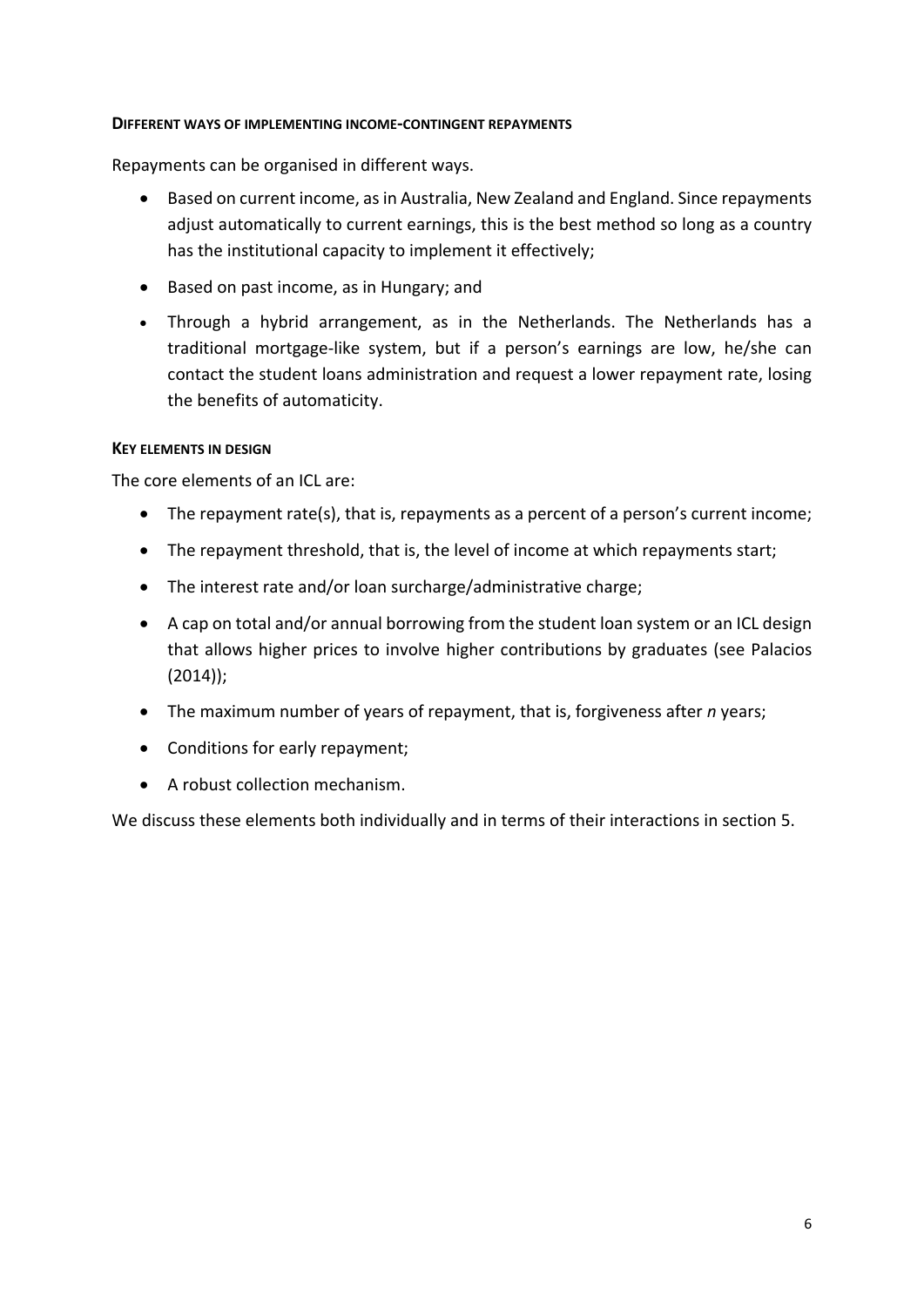## **DIFFERENT WAYS OF IMPLEMENTING INCOME-CONTINGENT REPAYMENTS**

Repayments can be organised in different ways.

- Based on current income, as in Australia, New Zealand and England. Since repayments adjust automatically to current earnings, this is the best method so long as a country has the institutional capacity to implement it effectively;
- Based on past income, as in Hungary; and
- Through a hybrid arrangement, as in the Netherlands. The Netherlands has a traditional mortgage-like system, but if a person's earnings are low, he/she can contact the student loans administration and request a lower repayment rate, losing the benefits of automaticity.

## **KEY ELEMENTS IN DESIGN**

The core elements of an ICL are:

- The repayment rate(s), that is, repayments as a percent of a person's current income;
- The repayment threshold, that is, the level of income at which repayments start;
- The interest rate and/or loan surcharge/administrative charge;
- A cap on total and/or annual borrowing from the student loan system or an ICL design that allows higher prices to involve higher contributions by graduates (see Palacios (2014));
- The maximum number of years of repayment, that is, forgiveness after *n* years;
- Conditions for early repayment;
- A robust collection mechanism.

We discuss these elements both individually and in terms of their interactions in section 5.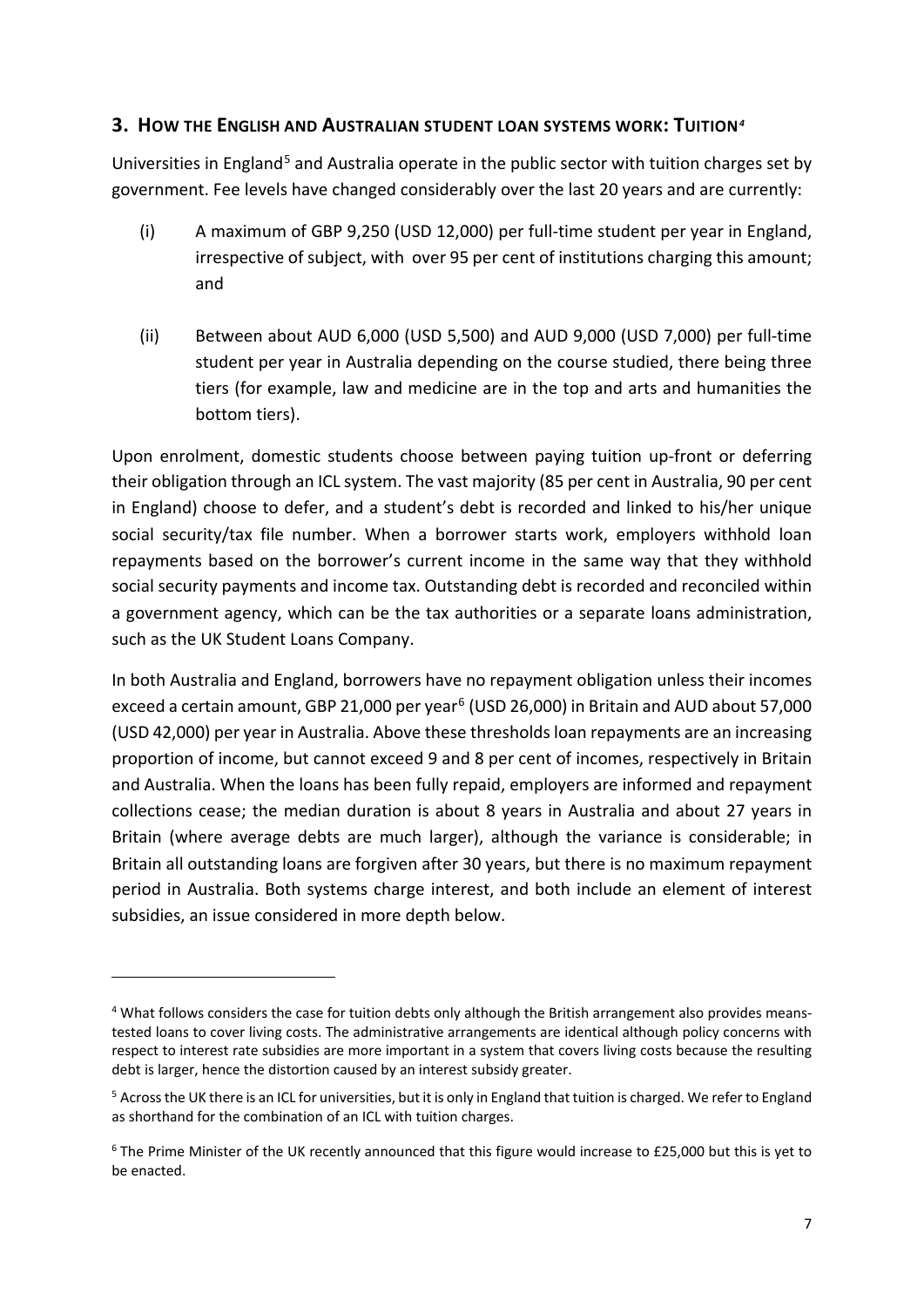## **3. HOW THE ENGLISH AND AUSTRALIAN STUDENT LOAN SYSTEMS WORK: TUITION***[4](#page-8-0)*

Universities in England<sup>[5](#page-8-1)</sup> and Australia operate in the public sector with tuition charges set by government. Fee levels have changed considerably over the last 20 years and are currently:

- (i) A maximum of GBP 9,250 (USD 12,000) per full-time student per year in England, irrespective of subject, with over 95 per cent of institutions charging this amount; and
- (ii) Between about AUD 6,000 (USD 5,500) and AUD 9,000 (USD 7,000) per full-time student per year in Australia depending on the course studied, there being three tiers (for example, law and medicine are in the top and arts and humanities the bottom tiers).

Upon enrolment, domestic students choose between paying tuition up-front or deferring their obligation through an ICL system. The vast majority (85 per cent in Australia, 90 per cent in England) choose to defer, and a student's debt is recorded and linked to his/her unique social security/tax file number. When a borrower starts work, employers withhold loan repayments based on the borrower's current income in the same way that they withhold social security payments and income tax. Outstanding debt is recorded and reconciled within a government agency, which can be the tax authorities or a separate loans administration, such as the UK Student Loans Company.

In both Australia and England, borrowers have no repayment obligation unless their incomes exceed a certain amount, GBP 21,000 per year<sup>[6](#page-8-2)</sup> (USD 26,000) in Britain and AUD about 57,000 (USD 42,000) per year in Australia. Above these thresholds loan repayments are an increasing proportion of income, but cannot exceed 9 and 8 per cent of incomes, respectively in Britain and Australia. When the loans has been fully repaid, employers are informed and repayment collections cease; the median duration is about 8 years in Australia and about 27 years in Britain (where average debts are much larger), although the variance is considerable; in Britain all outstanding loans are forgiven after 30 years, but there is no maximum repayment period in Australia. Both systems charge interest, and both include an element of interest subsidies, an issue considered in more depth below.

**.** 

<span id="page-8-0"></span><sup>4</sup> What follows considers the case for tuition debts only although the British arrangement also provides meanstested loans to cover living costs. The administrative arrangements are identical although policy concerns with respect to interest rate subsidies are more important in a system that covers living costs because the resulting debt is larger, hence the distortion caused by an interest subsidy greater.

<span id="page-8-1"></span> $5$  Across the UK there is an ICL for universities, but it is only in England that tuition is charged. We refer to England as shorthand for the combination of an ICL with tuition charges.

<span id="page-8-2"></span><sup>6</sup> The Prime Minister of the UK recently announced that this figure would increase to £25,000 but this is yet to be enacted.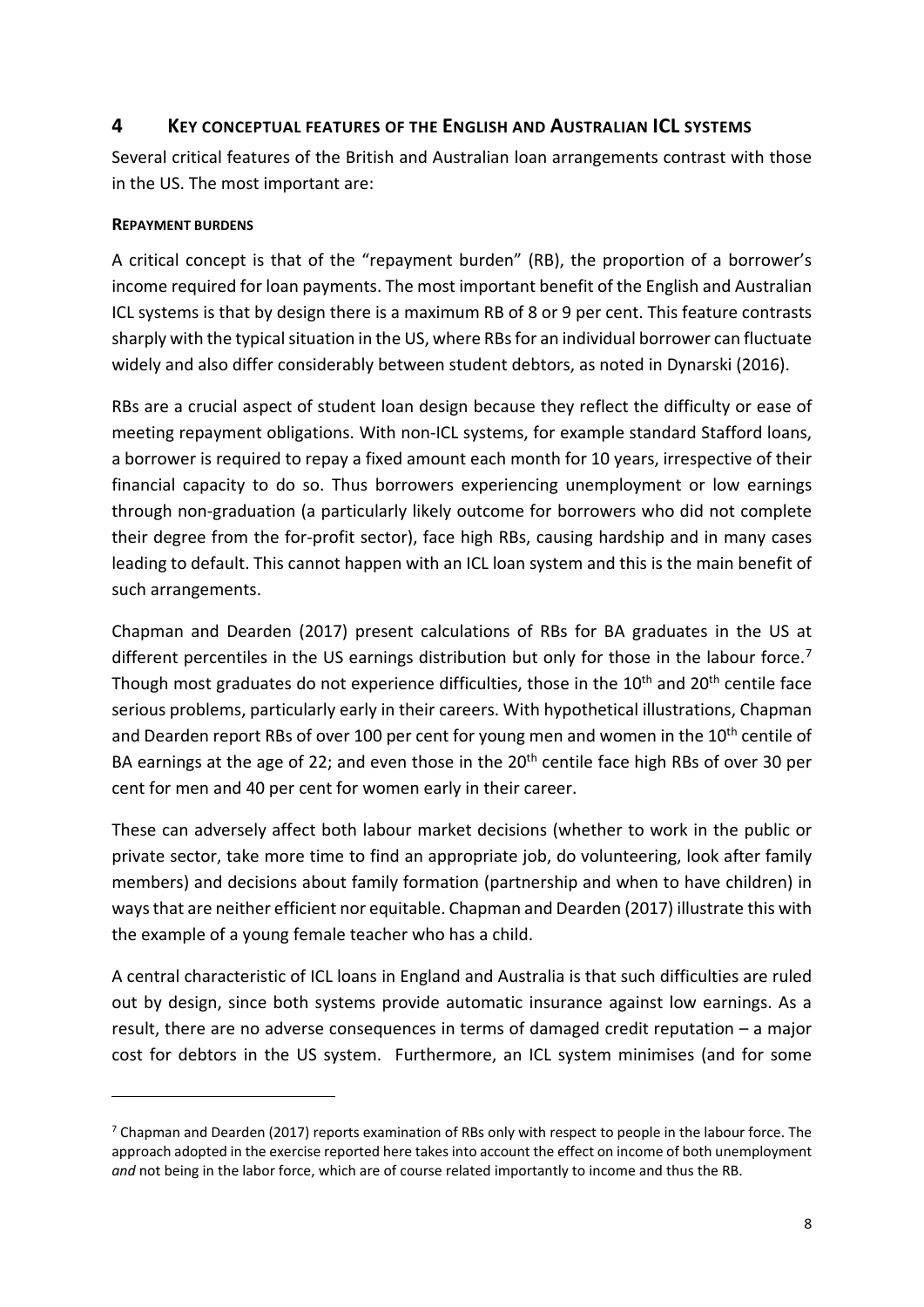# **4 KEY CONCEPTUAL FEATURES OF THE ENGLISH AND AUSTRALIAN ICL SYSTEMS**

Several critical features of the British and Australian loan arrangements contrast with those in the US. The most important are:

## **REPAYMENT BURDENS**

1

A critical concept is that of the "repayment burden" (RB), the proportion of a borrower's income required for loan payments. The most important benefit of the English and Australian ICL systems is that by design there is a maximum RB of 8 or 9 per cent. This feature contrasts sharply with the typical situation in the US, where RBs for an individual borrower can fluctuate widely and also differ considerably between student debtors, as noted in Dynarski (2016).

RBs are a crucial aspect of student loan design because they reflect the difficulty or ease of meeting repayment obligations. With non-ICL systems, for example standard Stafford loans, a borrower is required to repay a fixed amount each month for 10 years, irrespective of their financial capacity to do so. Thus borrowers experiencing unemployment or low earnings through non-graduation (a particularly likely outcome for borrowers who did not complete their degree from the for-profit sector), face high RBs, causing hardship and in many cases leading to default. This cannot happen with an ICL loan system and this is the main benefit of such arrangements.

Chapman and Dearden (2017) present calculations of RBs for BA graduates in the US at different percentiles in the US earnings distribution but only for those in the labour force.<sup>[7](#page-9-0)</sup> Though most graduates do not experience difficulties, those in the 10<sup>th</sup> and 20<sup>th</sup> centile face serious problems, particularly early in their careers. With hypothetical illustrations, Chapman and Dearden report RBs of over 100 per cent for young men and women in the 10<sup>th</sup> centile of BA earnings at the age of 22; and even those in the  $20<sup>th</sup>$  centile face high RBs of over 30 per cent for men and 40 per cent for women early in their career.

These can adversely affect both labour market decisions (whether to work in the public or private sector, take more time to find an appropriate job, do volunteering, look after family members) and decisions about family formation (partnership and when to have children) in waysthat are neither efficient nor equitable. Chapman and Dearden (2017) illustrate this with the example of a young female teacher who has a child.

A central characteristic of ICL loans in England and Australia is that such difficulties are ruled out by design, since both systems provide automatic insurance against low earnings. As a result, there are no adverse consequences in terms of damaged credit reputation – a major cost for debtors in the US system. Furthermore, an ICL system minimises (and for some

<span id="page-9-0"></span> $7$  Chapman and Dearden (2017) reports examination of RBs only with respect to people in the labour force. The approach adopted in the exercise reported here takes into account the effect on income of both unemployment *and* not being in the labor force, which are of course related importantly to income and thus the RB.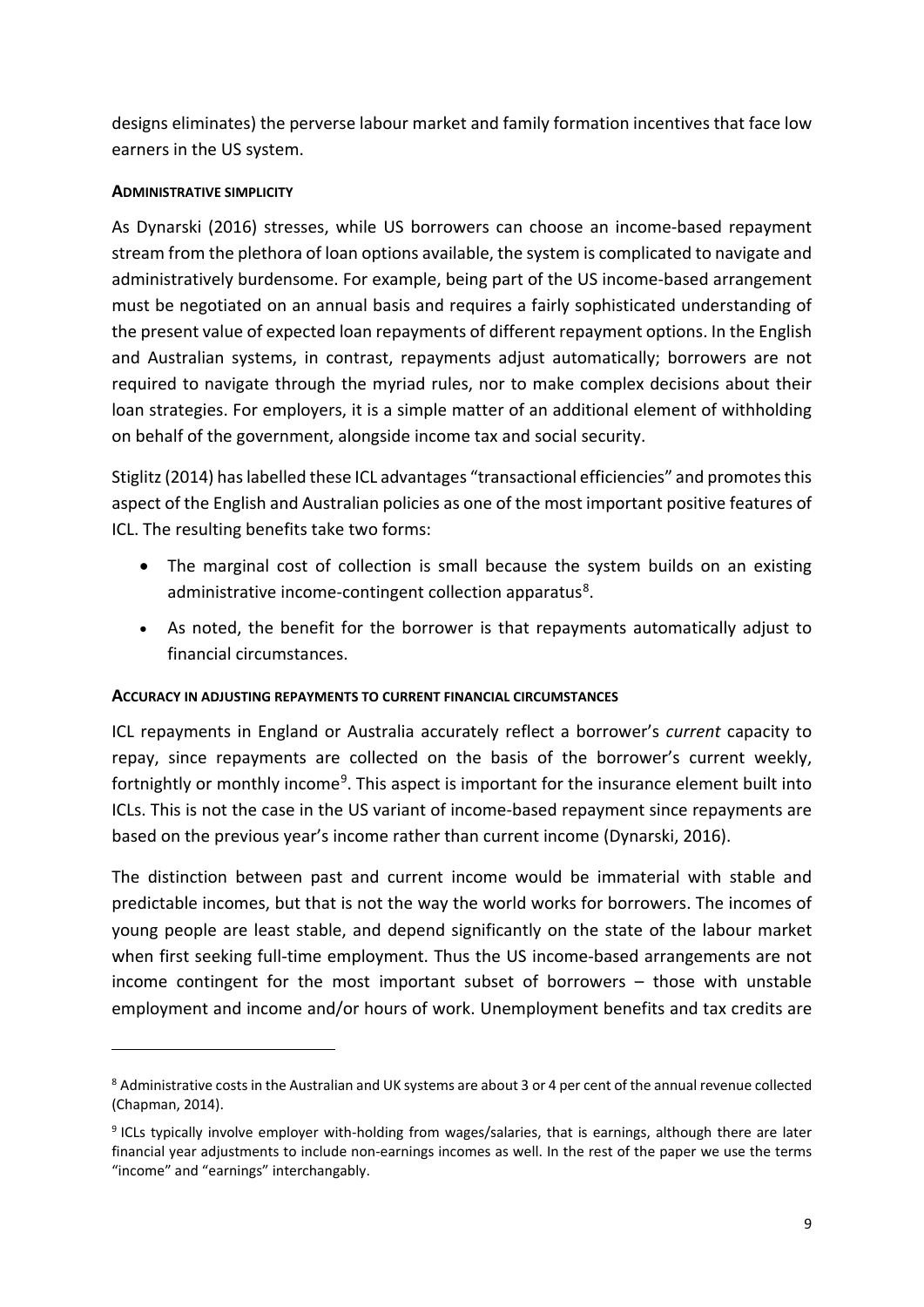designs eliminates) the perverse labour market and family formation incentives that face low earners in the US system.

## **ADMINISTRATIVE SIMPLICITY**

1

As Dynarski (2016) stresses, while US borrowers can choose an income-based repayment stream from the plethora of loan options available, the system is complicated to navigate and administratively burdensome. For example, being part of the US income-based arrangement must be negotiated on an annual basis and requires a fairly sophisticated understanding of the present value of expected loan repayments of different repayment options. In the English and Australian systems, in contrast, repayments adjust automatically; borrowers are not required to navigate through the myriad rules, nor to make complex decisions about their loan strategies. For employers, it is a simple matter of an additional element of withholding on behalf of the government, alongside income tax and social security.

Stiglitz (2014) has labelled these ICL advantages "transactional efficiencies" and promotes this aspect of the English and Australian policies as one of the most important positive features of ICL. The resulting benefits take two forms:

- The marginal cost of collection is small because the system builds on an existing administrative income-contingent collection apparatus<sup>[8](#page-10-0)</sup>.
- As noted, the benefit for the borrower is that repayments automatically adjust to financial circumstances.

## **ACCURACY IN ADJUSTING REPAYMENTS TO CURRENT FINANCIAL CIRCUMSTANCES**

ICL repayments in England or Australia accurately reflect a borrower's *current* capacity to repay, since repayments are collected on the basis of the borrower's current weekly, fortnightly or monthly income<sup>9</sup>. This aspect is important for the insurance element built into ICLs. This is not the case in the US variant of income-based repayment since repayments are based on the previous year's income rather than current income (Dynarski, 2016).

The distinction between past and current income would be immaterial with stable and predictable incomes, but that is not the way the world works for borrowers. The incomes of young people are least stable, and depend significantly on the state of the labour market when first seeking full-time employment. Thus the US income-based arrangements are not income contingent for the most important subset of borrowers – those with unstable employment and income and/or hours of work. Unemployment benefits and tax credits are

<span id="page-10-0"></span><sup>&</sup>lt;sup>8</sup> Administrative costs in the Australian and UK systems are about 3 or 4 per cent of the annual revenue collected (Chapman, 2014).

<span id="page-10-1"></span><sup>9</sup> ICLs typically involve employer with-holding from wages/salaries, that is earnings, although there are later financial year adjustments to include non-earnings incomes as well. In the rest of the paper we use the terms "income" and "earnings" interchangably.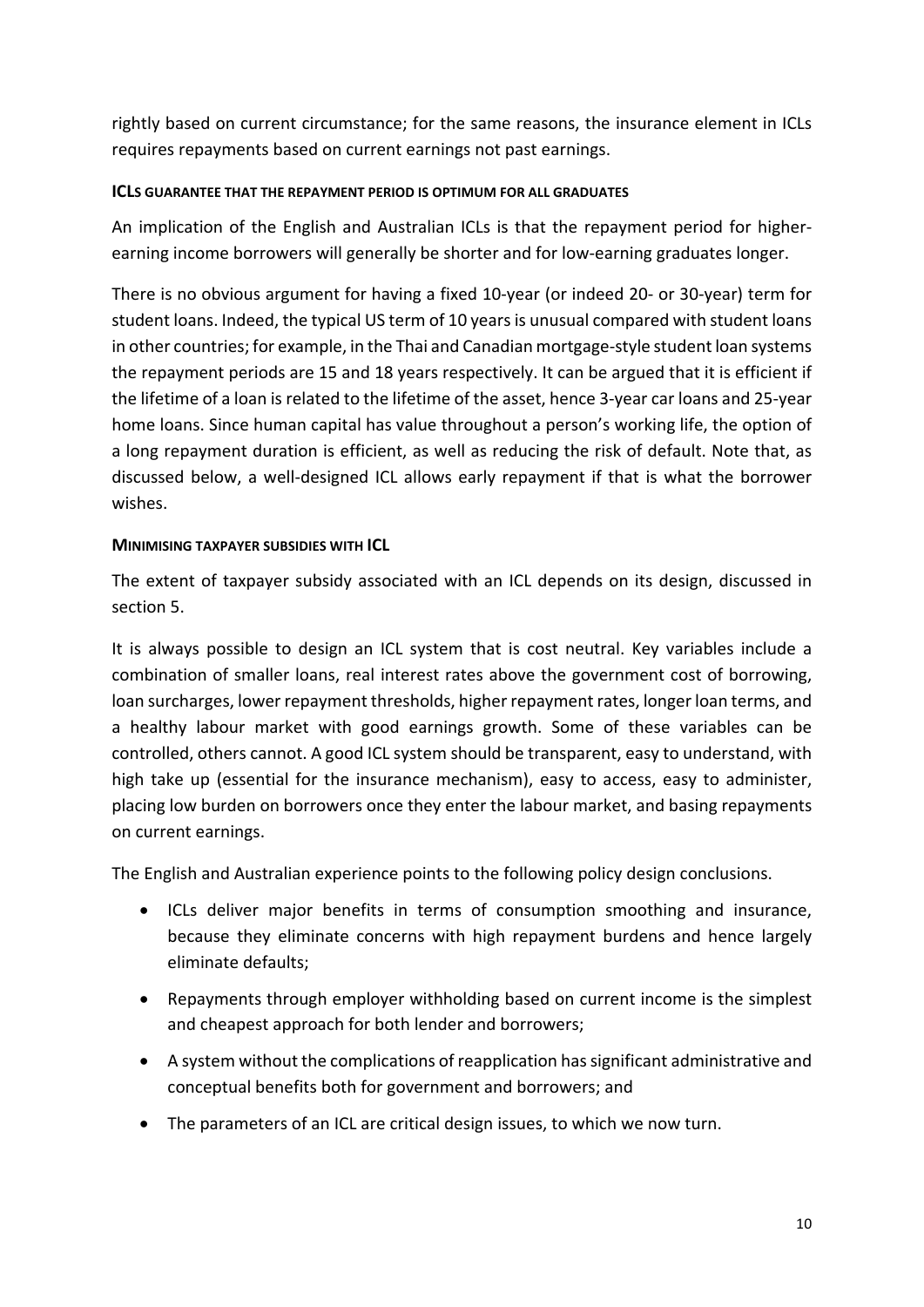rightly based on current circumstance; for the same reasons, the insurance element in ICLs requires repayments based on current earnings not past earnings.

## **ICLS GUARANTEE THAT THE REPAYMENT PERIOD IS OPTIMUM FOR ALL GRADUATES**

An implication of the English and Australian ICLs is that the repayment period for higherearning income borrowers will generally be shorter and for low-earning graduates longer.

There is no obvious argument for having a fixed 10-year (or indeed 20- or 30-year) term for student loans. Indeed, the typical US term of 10 years is unusual compared with student loans in other countries; for example, in the Thai and Canadian mortgage-style student loan systems the repayment periods are 15 and 18 years respectively. It can be argued that it is efficient if the lifetime of a loan is related to the lifetime of the asset, hence 3-year car loans and 25-year home loans. Since human capital has value throughout a person's working life, the option of a long repayment duration is efficient, as well as reducing the risk of default. Note that, as discussed below, a well-designed ICL allows early repayment if that is what the borrower wishes.

## **MINIMISING TAXPAYER SUBSIDIES WITH ICL**

The extent of taxpayer subsidy associated with an ICL depends on its design, discussed in section 5.

It is always possible to design an ICL system that is cost neutral. Key variables include a combination of smaller loans, real interest rates above the government cost of borrowing, loan surcharges, lower repayment thresholds, higher repayment rates, longer loan terms, and a healthy labour market with good earnings growth. Some of these variables can be controlled, others cannot. A good ICL system should be transparent, easy to understand, with high take up (essential for the insurance mechanism), easy to access, easy to administer, placing low burden on borrowers once they enter the labour market, and basing repayments on current earnings.

The English and Australian experience points to the following policy design conclusions.

- ICLs deliver major benefits in terms of consumption smoothing and insurance, because they eliminate concerns with high repayment burdens and hence largely eliminate defaults;
- Repayments through employer withholding based on current income is the simplest and cheapest approach for both lender and borrowers;
- A system without the complications of reapplication has significant administrative and conceptual benefits both for government and borrowers; and
- The parameters of an ICL are critical design issues, to which we now turn.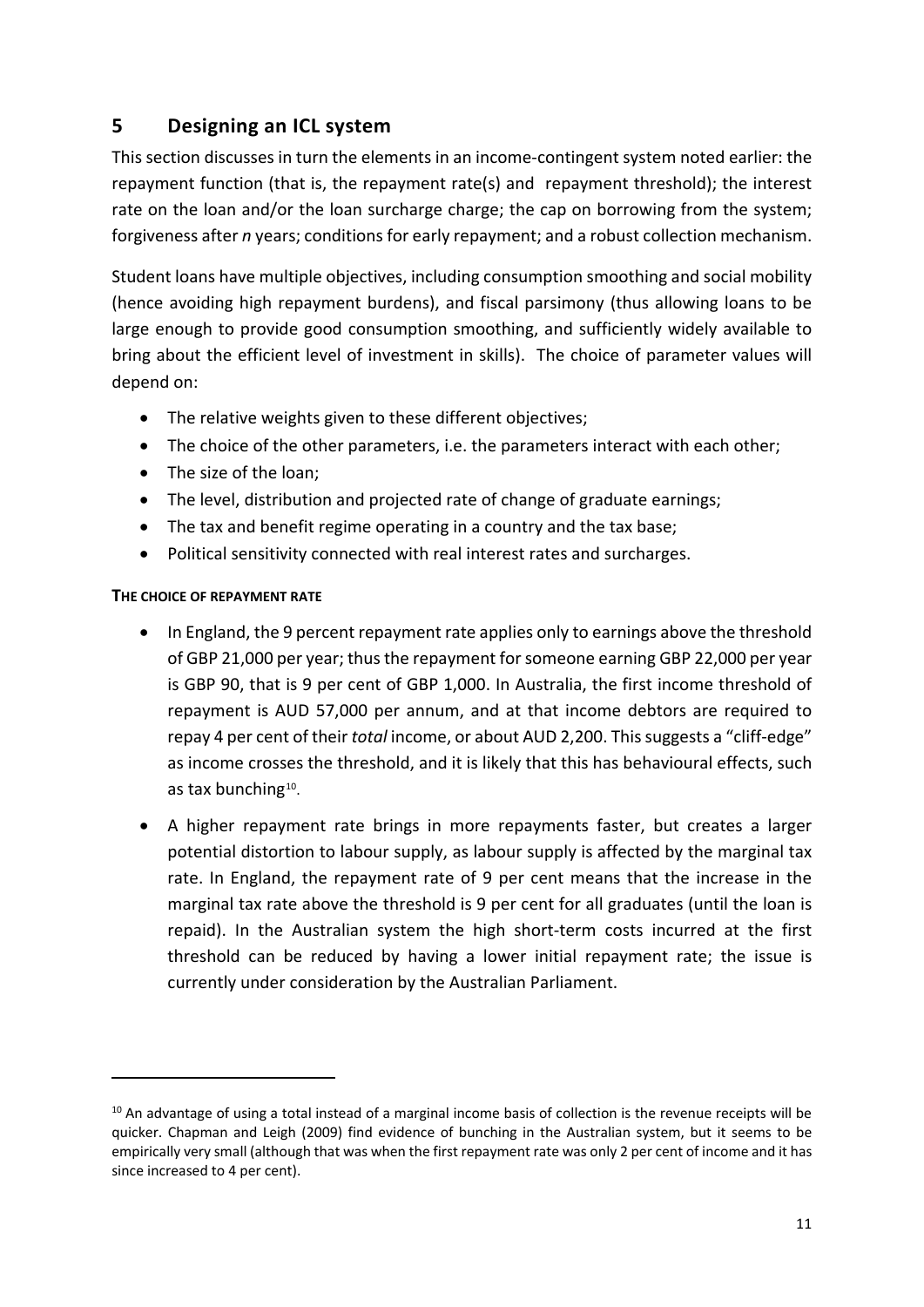# **5 Designing an ICL system**

This section discusses in turn the elements in an income-contingent system noted earlier: the repayment function (that is, the repayment rate(s) and repayment threshold); the interest rate on the loan and/or the loan surcharge charge; the cap on borrowing from the system; forgiveness after *n* years; conditions for early repayment; and a robust collection mechanism.

Student loans have multiple objectives, including consumption smoothing and social mobility (hence avoiding high repayment burdens), and fiscal parsimony (thus allowing loans to be large enough to provide good consumption smoothing, and sufficiently widely available to bring about the efficient level of investment in skills). The choice of parameter values will depend on:

- The relative weights given to these different objectives;
- The choice of the other parameters, i.e. the parameters interact with each other;
- The size of the loan;
- The level, distribution and projected rate of change of graduate earnings;
- The tax and benefit regime operating in a country and the tax base;
- Political sensitivity connected with real interest rates and surcharges.

## **THE CHOICE OF REPAYMENT RATE**

**.** 

- In England, the 9 percent repayment rate applies only to earnings above the threshold of GBP 21,000 per year; thus the repayment for someone earning GBP 22,000 per year is GBP 90, that is 9 per cent of GBP 1,000. In Australia, the first income threshold of repayment is AUD 57,000 per annum, and at that income debtors are required to repay 4 per cent of their *total* income, or about AUD 2,200. This suggests a "cliff-edge" as income crosses the threshold, and it is likely that this has behavioural effects, such as tax bunching<sup>10</sup>.
- A higher repayment rate brings in more repayments faster, but creates a larger potential distortion to labour supply, as labour supply is affected by the marginal tax rate. In England, the repayment rate of 9 per cent means that the increase in the marginal tax rate above the threshold is 9 per cent for all graduates (until the loan is repaid). In the Australian system the high short-term costs incurred at the first threshold can be reduced by having a lower initial repayment rate; the issue is currently under consideration by the Australian Parliament.

<span id="page-12-0"></span> $10$  An advantage of using a total instead of a marginal income basis of collection is the revenue receipts will be quicker. Chapman and Leigh (2009) find evidence of bunching in the Australian system, but it seems to be empirically very small (although that was when the first repayment rate was only 2 per cent of income and it has since increased to 4 per cent).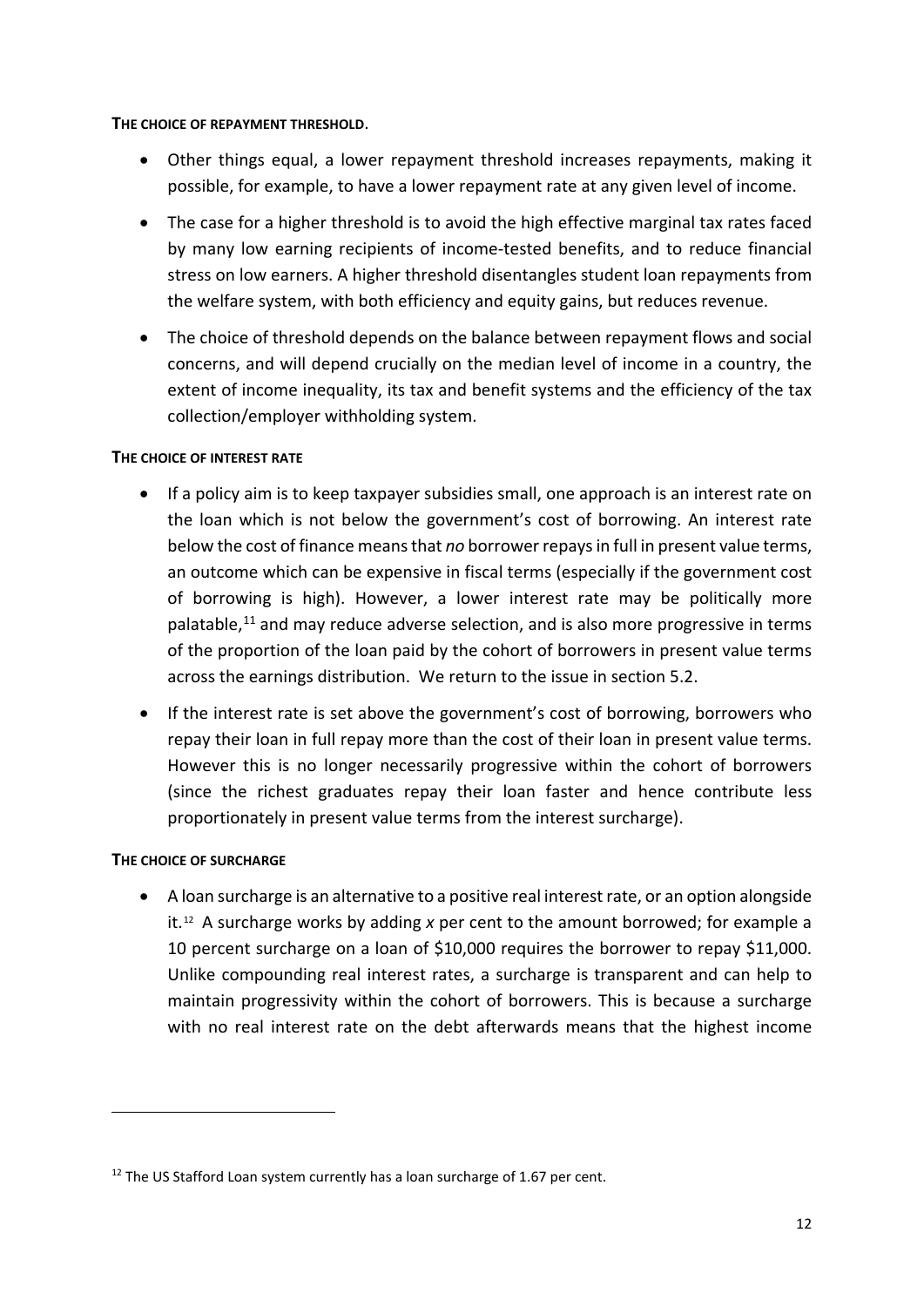### **THE CHOICE OF REPAYMENT THRESHOLD**.

- Other things equal, a lower repayment threshold increases repayments, making it possible, for example, to have a lower repayment rate at any given level of income.
- The case for a higher threshold is to avoid the high effective marginal tax rates faced by many low earning recipients of income-tested benefits, and to reduce financial stress on low earners. A higher threshold disentangles student loan repayments from the welfare system, with both efficiency and equity gains, but reduces revenue.
- The choice of threshold depends on the balance between repayment flows and social concerns, and will depend crucially on the median level of income in a country, the extent of income inequality, its tax and benefit systems and the efficiency of the tax collection/employer withholding system.

## **THE CHOICE OF INTEREST RATE**

- If a policy aim is to keep taxpayer subsidies small, one approach is an interest rate on the loan which is not below the government's cost of borrowing. An interest rate below the cost of finance means that *no* borrower repays in full in present value terms, an outcome which can be expensive in fiscal terms (especially if the government cost of borrowing is high). However, a lower interest rate may be politically more palatable,<sup>[11](#page-13-0)</sup> and may reduce adverse selection, and is also more progressive in terms of the proportion of the loan paid by the cohort of borrowers in present value terms across the earnings distribution. We return to the issue in section 5.2.
- If the interest rate is set above the government's cost of borrowing, borrowers who repay their loan in full repay more than the cost of their loan in present value terms. However this is no longer necessarily progressive within the cohort of borrowers (since the richest graduates repay their loan faster and hence contribute less proportionately in present value terms from the interest surcharge).

## **THE CHOICE OF SURCHARGE**

1

• A loan surcharge is an alternative to a positive real interest rate, or an option alongside it.[12](#page-13-1) A surcharge works by adding *x* per cent to the amount borrowed; for example a 10 percent surcharge on a loan of \$10,000 requires the borrower to repay \$11,000. Unlike compounding real interest rates, a surcharge is transparent and can help to maintain progressivity within the cohort of borrowers. This is because a surcharge with no real interest rate on the debt afterwards means that the highest income

<span id="page-13-1"></span><span id="page-13-0"></span> $12$  The US Stafford Loan system currently has a loan surcharge of 1.67 per cent.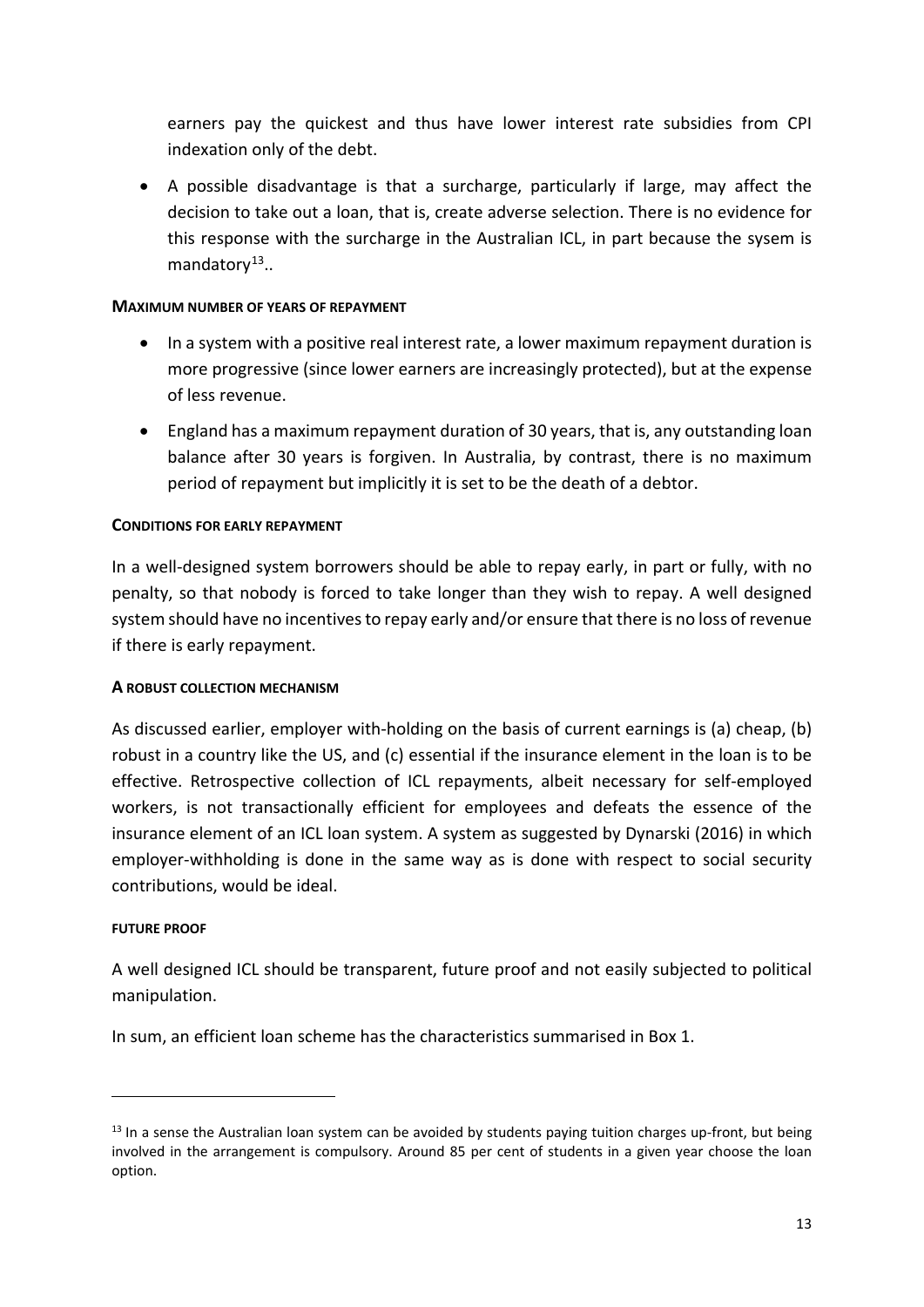earners pay the quickest and thus have lower interest rate subsidies from CPI indexation only of the debt.

• A possible disadvantage is that a surcharge, particularly if large, may affect the decision to take out a loan, that is, create adverse selection. There is no evidence for this response with the surcharge in the Australian ICL, in part because the sysem is mandator $v^{13}$  $v^{13}$  $v^{13}$ ..

## **MAXIMUM NUMBER OF YEARS OF REPAYMENT**

- In a system with a positive real interest rate, a lower maximum repayment duration is more progressive (since lower earners are increasingly protected), but at the expense of less revenue.
- England has a maximum repayment duration of 30 years, that is, any outstanding loan balance after 30 years is forgiven. In Australia, by contrast, there is no maximum period of repayment but implicitly it is set to be the death of a debtor.

### **CONDITIONS FOR EARLY REPAYMENT**

In a well-designed system borrowers should be able to repay early, in part or fully, with no penalty, so that nobody is forced to take longer than they wish to repay. A well designed system should have no incentives to repay early and/or ensure that there is no loss of revenue if there is early repayment.

## **A ROBUST COLLECTION MECHANISM**

As discussed earlier, employer with-holding on the basis of current earnings is (a) cheap, (b) robust in a country like the US, and (c) essential if the insurance element in the loan is to be effective. Retrospective collection of ICL repayments, albeit necessary for self-employed workers, is not transactionally efficient for employees and defeats the essence of the insurance element of an ICL loan system. A system as suggested by Dynarski (2016) in which employer-withholding is done in the same way as is done with respect to social security contributions, would be ideal.

#### **FUTURE PROOF**

1

A well designed ICL should be transparent, future proof and not easily subjected to political manipulation.

In sum, an efficient loan scheme has the characteristics summarised in Box 1.

<span id="page-14-0"></span> $13$  In a sense the Australian loan system can be avoided by students paying tuition charges up-front, but being involved in the arrangement is compulsory. Around 85 per cent of students in a given year choose the loan option.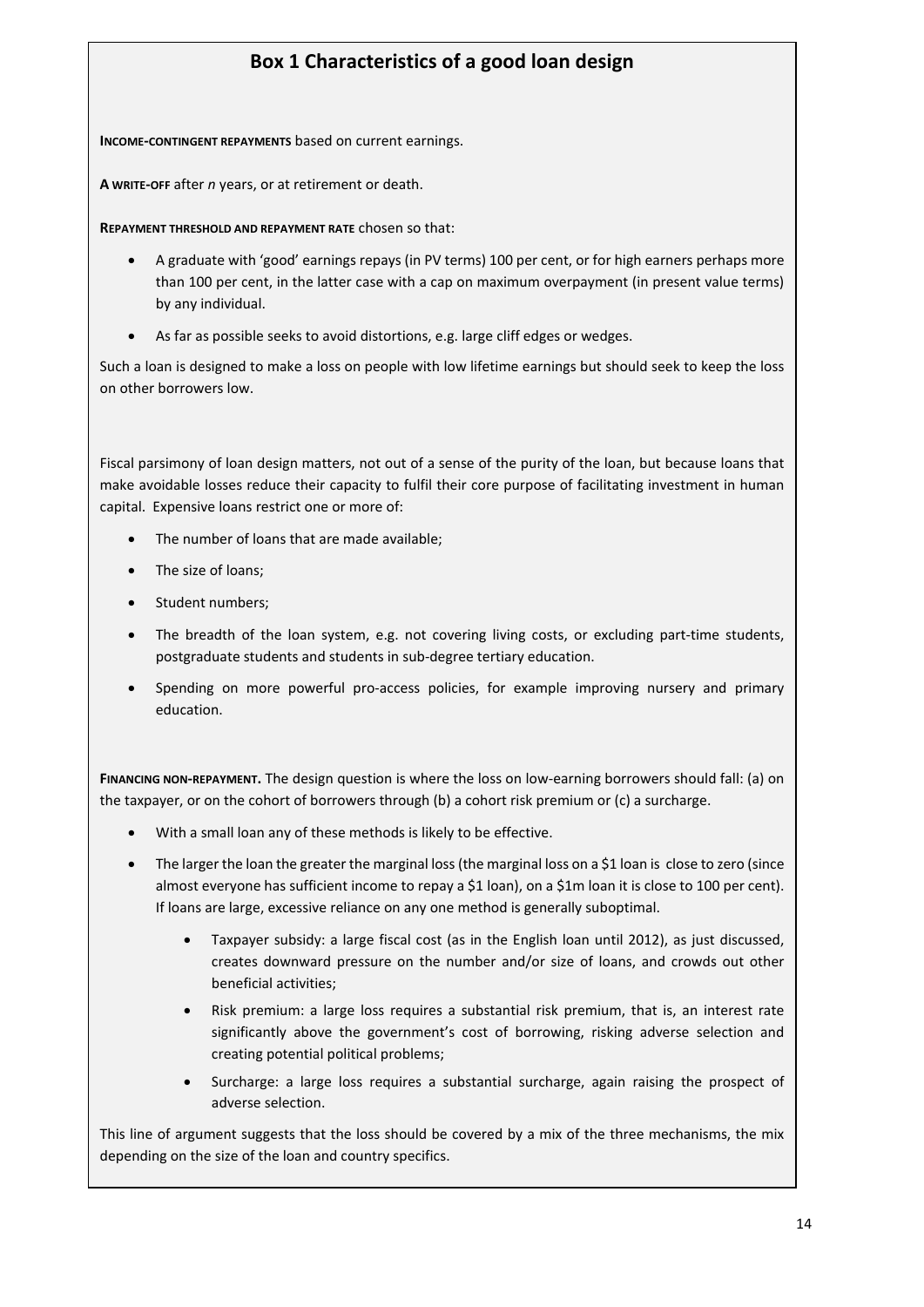# **Box 1 Characteristics of a good loan design**

**INCOME-CONTINGENT REPAYMENTS** based on current earnings.

**A WRITE-OFF** after *n* years, or at retirement or death.

**REPAYMENT THRESHOLD AND REPAYMENT RATE** chosen so that:

- A graduate with 'good' earnings repays (in PV terms) 100 per cent, or for high earners perhaps more than 100 per cent, in the latter case with a cap on maximum overpayment (in present value terms) by any individual.
- As far as possible seeks to avoid distortions, e.g. large cliff edges or wedges.

Such a loan is designed to make a loss on people with low lifetime earnings but should seek to keep the loss on other borrowers low.

Fiscal parsimony of loan design matters, not out of a sense of the purity of the loan, but because loans that make avoidable losses reduce their capacity to fulfil their core purpose of facilitating investment in human capital. Expensive loans restrict one or more of:

- The number of loans that are made available:
- The size of loans;
- Student numbers;
- The breadth of the loan system, e.g. not covering living costs, or excluding part-time students, postgraduate students and students in sub-degree tertiary education.
- Spending on more powerful pro-access policies, for example improving nursery and primary education.

**FINANCING NON-REPAYMENT.** The design question is where the loss on low-earning borrowers should fall: (a) on the taxpayer, or on the cohort of borrowers through (b) a cohort risk premium or (c) a surcharge.

- With a small loan any of these methods is likely to be effective.
- The larger the loan the greater the marginal loss (the marginal loss on a \$1 loan is close to zero (since almost everyone has sufficient income to repay a \$1 loan), on a \$1m loan it is close to 100 per cent). If loans are large, excessive reliance on any one method is generally suboptimal.
	- Taxpayer subsidy: a large fiscal cost (as in the English loan until 2012), as just discussed, creates downward pressure on the number and/or size of loans, and crowds out other beneficial activities;
	- Risk premium: a large loss requires a substantial risk premium, that is, an interest rate significantly above the government's cost of borrowing, risking adverse selection and creating potential political problems;
	- Surcharge: a large loss requires a substantial surcharge, again raising the prospect of adverse selection.

This line of argument suggests that the loss should be covered by a mix of the three mechanisms, the mix depending on the size of the loan and country specifics.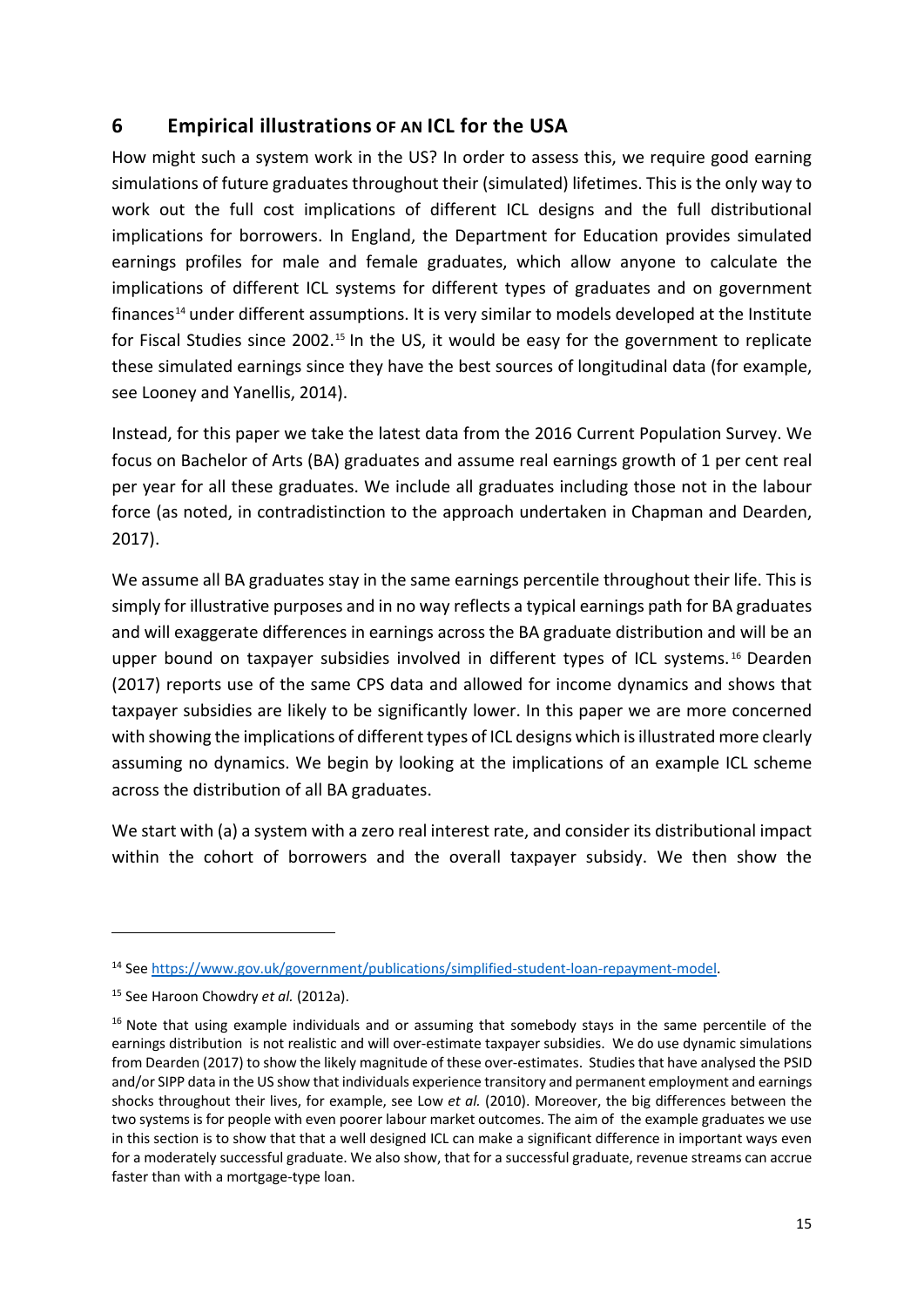# **6 Empirical illustrations OF AN ICL for the USA**

How might such a system work in the US? In order to assess this, we require good earning simulations of future graduates throughout their (simulated) lifetimes. This is the only way to work out the full cost implications of different ICL designs and the full distributional implications for borrowers. In England, the Department for Education provides simulated earnings profiles for male and female graduates, which allow anyone to calculate the implications of different ICL systems for different types of graduates and on government finances<sup>[14](#page-16-0)</sup> under different assumptions. It is very similar to models developed at the Institute for Fiscal Studies since 2002.<sup>[15](#page-16-1)</sup> In the US, it would be easy for the government to replicate these simulated earnings since they have the best sources of longitudinal data (for example, see Looney and Yanellis, 2014).

Instead, for this paper we take the latest data from the 2016 Current Population Survey. We focus on Bachelor of Arts (BA) graduates and assume real earnings growth of 1 per cent real per year for all these graduates. We include all graduates including those not in the labour force (as noted, in contradistinction to the approach undertaken in Chapman and Dearden, 2017).

We assume all BA graduates stay in the same earnings percentile throughout their life. This is simply for illustrative purposes and in no way reflects a typical earnings path for BA graduates and will exaggerate differences in earnings across the BA graduate distribution and will be an upper bound on taxpayer subsidies involved in different types of ICL systems.<sup>[16](#page-16-2)</sup> Dearden (2017) reports use of the same CPS data and allowed for income dynamics and shows that taxpayer subsidies are likely to be significantly lower. In this paper we are more concerned with showing the implications of different types of ICL designs which is illustrated more clearly assuming no dynamics. We begin by looking at the implications of an example ICL scheme across the distribution of all BA graduates.

We start with (a) a system with a zero real interest rate, and consider its distributional impact within the cohort of borrowers and the overall taxpayer subsidy. We then show the

1

<span id="page-16-0"></span><sup>14</sup> Se[e https://www.gov.uk/government/publications/simplified-student-loan-repayment-model.](https://www.gov.uk/government/publications/simplified-student-loan-repayment-model)

<span id="page-16-1"></span><sup>15</sup> See Haroon Chowdry *et al.* (2012a).

<span id="page-16-2"></span><sup>&</sup>lt;sup>16</sup> Note that using example individuals and or assuming that somebody stays in the same percentile of the earnings distribution is not realistic and will over-estimate taxpayer subsidies. We do use dynamic simulations from Dearden (2017) to show the likely magnitude of these over-estimates. Studies that have analysed the PSID and/or SIPP data in the US show that individuals experience transitory and permanent employment and earnings shocks throughout their lives, for example, see Low *et al.* (2010). Moreover, the big differences between the two systems is for people with even poorer labour market outcomes. The aim of the example graduates we use in this section is to show that that a well designed ICL can make a significant difference in important ways even for a moderately successful graduate. We also show, that for a successful graduate, revenue streams can accrue faster than with a mortgage-type loan.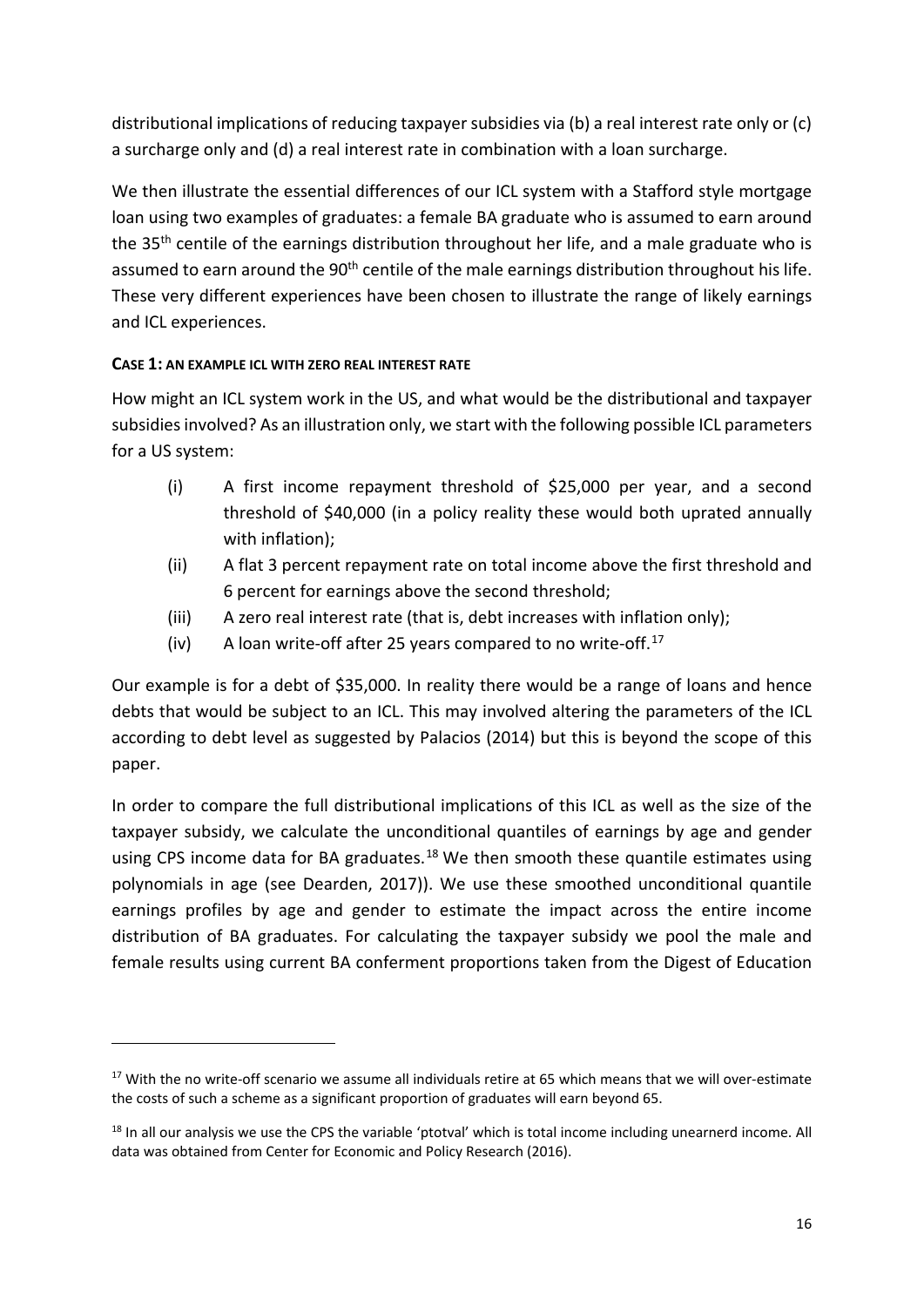distributional implications of reducing taxpayer subsidies via (b) a real interest rate only or (c) a surcharge only and (d) a real interest rate in combination with a loan surcharge.

We then illustrate the essential differences of our ICL system with a Stafford style mortgage loan using two examples of graduates: a female BA graduate who is assumed to earn around the 35<sup>th</sup> centile of the earnings distribution throughout her life, and a male graduate who is assumed to earn around the 90<sup>th</sup> centile of the male earnings distribution throughout his life. These very different experiences have been chosen to illustrate the range of likely earnings and ICL experiences.

# **CASE 1: AN EXAMPLE ICL WITH ZERO REAL INTEREST RATE**

1

How might an ICL system work in the US, and what would be the distributional and taxpayer subsidies involved? As an illustration only, we start with the following possible ICL parameters for a US system:

- (i) A first income repayment threshold of \$25,000 per year, and a second threshold of \$40,000 (in a policy reality these would both uprated annually with inflation);
- (ii) A flat 3 percent repayment rate on total income above the first threshold and 6 percent for earnings above the second threshold;
- (iii) A zero real interest rate (that is, debt increases with inflation only);
- (iv) A loan write-off after 25 years compared to no write-off. $17$

Our example is for a debt of \$35,000. In reality there would be a range of loans and hence debts that would be subject to an ICL. This may involved altering the parameters of the ICL according to debt level as suggested by Palacios (2014) but this is beyond the scope of this paper.

In order to compare the full distributional implications of this ICL as well as the size of the taxpayer subsidy, we calculate the unconditional quantiles of earnings by age and gender using CPS income data for BA graduates.<sup>[18](#page-17-1)</sup> We then smooth these quantile estimates using polynomials in age (see Dearden, 2017)). We use these smoothed unconditional quantile earnings profiles by age and gender to estimate the impact across the entire income distribution of BA graduates. For calculating the taxpayer subsidy we pool the male and female results using current BA conferment proportions taken from the Digest of Education

<span id="page-17-0"></span><sup>&</sup>lt;sup>17</sup> With the no write-off scenario we assume all individuals retire at 65 which means that we will over-estimate the costs of such a scheme as a significant proportion of graduates will earn beyond 65.

<span id="page-17-1"></span><sup>&</sup>lt;sup>18</sup> In all our analysis we use the CPS the variable 'ptotval' which is total income including unearnerd income. All data was obtained from Center for Economic and Policy Research (2016).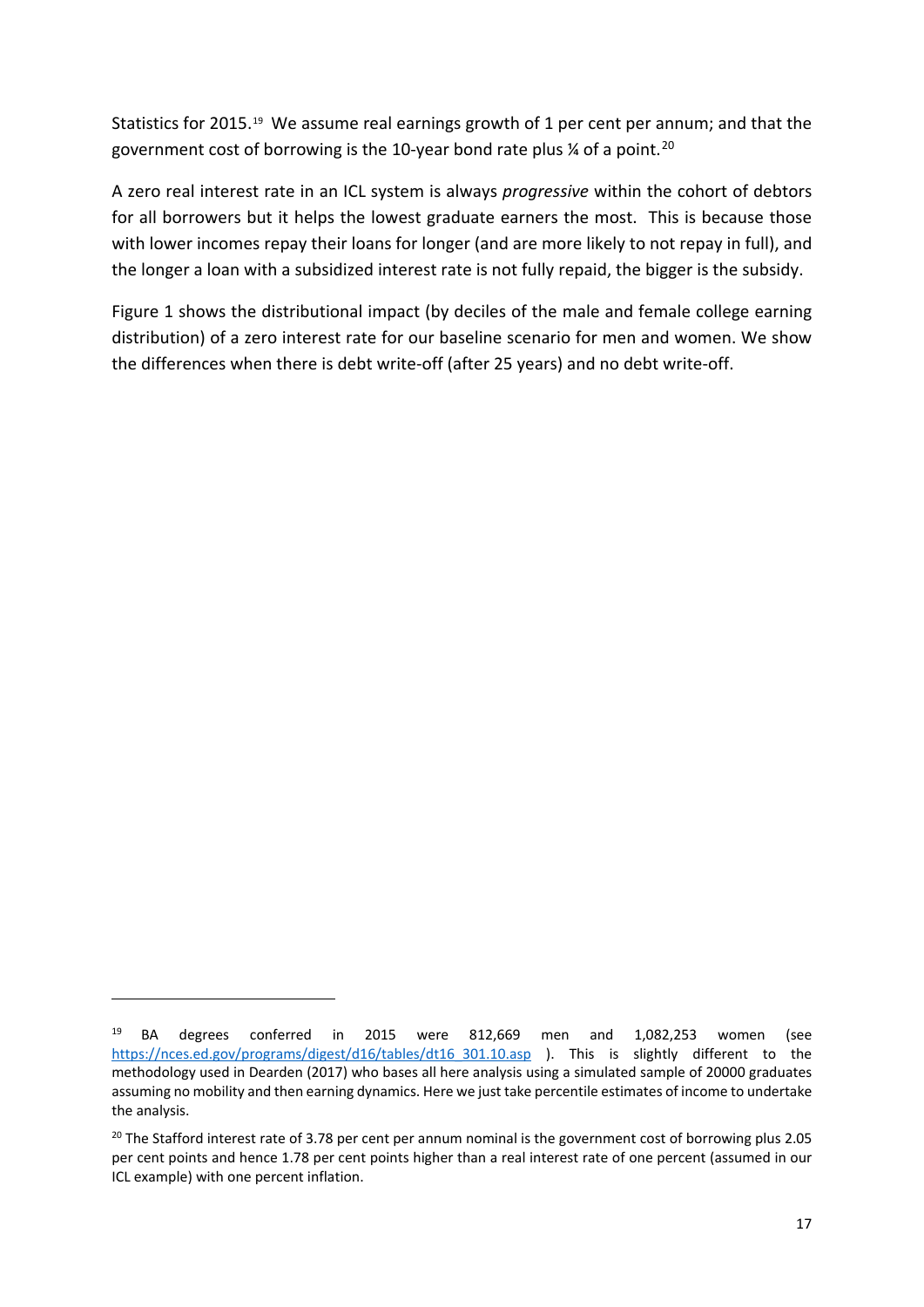Statistics for 2015.<sup>[19](#page-18-0)</sup> We assume real earnings growth of 1 per cent per annum; and that the government cost of borrowing is the 10-year bond rate plus  $\frac{1}{4}$  of a point.<sup>[20](#page-18-1)</sup>

A zero real interest rate in an ICL system is always *progressive* within the cohort of debtors for all borrowers but it helps the lowest graduate earners the most. This is because those with lower incomes repay their loans for longer (and are more likely to not repay in full), and the longer a loan with a subsidized interest rate is not fully repaid, the bigger is the subsidy.

Figure 1 shows the distributional impact (by deciles of the male and female college earning distribution) of a zero interest rate for our baseline scenario for men and women. We show the differences when there is debt write-off (after 25 years) and no debt write-off.

**.** 

<span id="page-18-0"></span><sup>19</sup> BA degrees conferred in 2015 were 812,669 men and 1,082,253 women (see https://nces.ed.gov/programs/digest/d16/tables/dt16 301.10.asp ). This is slightly different to the methodology used in Dearden (2017) who bases all here analysis using a simulated sample of 20000 graduates assuming no mobility and then earning dynamics. Here we just take percentile estimates of income to undertake the analysis.

<span id="page-18-1"></span><sup>&</sup>lt;sup>20</sup> The Stafford interest rate of 3.78 per cent per annum nominal is the government cost of borrowing plus 2.05 per cent points and hence 1.78 per cent points higher than a real interest rate of one percent (assumed in our ICL example) with one percent inflation.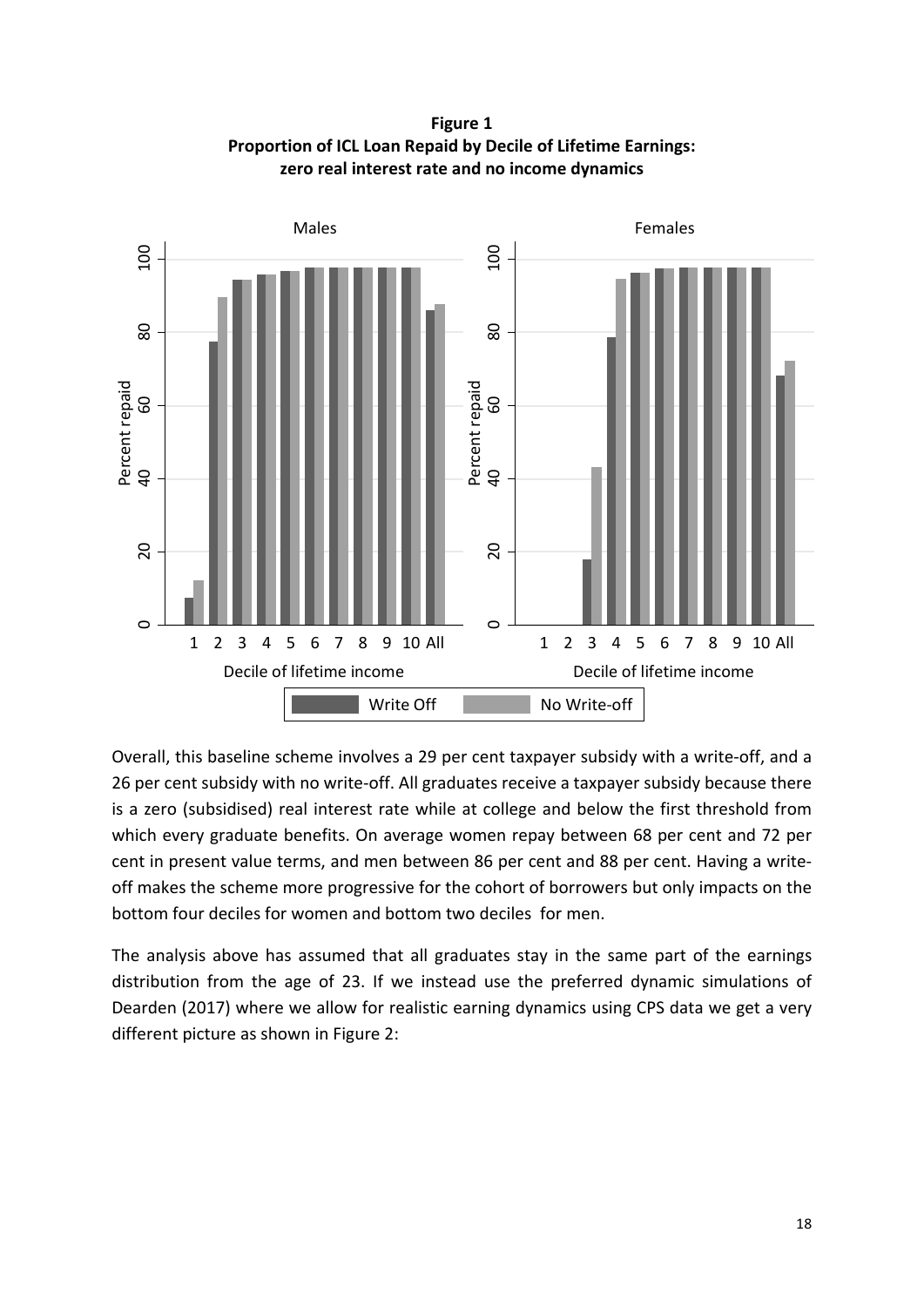**Figure 1 Proportion of ICL Loan Repaid by Decile of Lifetime Earnings: zero real interest rate and no income dynamics**



Overall, this baseline scheme involves a 29 per cent taxpayer subsidy with a write-off, and a 26 per cent subsidy with no write-off. All graduates receive a taxpayer subsidy because there is a zero (subsidised) real interest rate while at college and below the first threshold from which every graduate benefits. On average women repay between 68 per cent and 72 per cent in present value terms, and men between 86 per cent and 88 per cent. Having a writeoff makes the scheme more progressive for the cohort of borrowers but only impacts on the bottom four deciles for women and bottom two deciles for men.

The analysis above has assumed that all graduates stay in the same part of the earnings distribution from the age of 23. If we instead use the preferred dynamic simulations of Dearden (2017) where we allow for realistic earning dynamics using CPS data we get a very different picture as shown in Figure 2: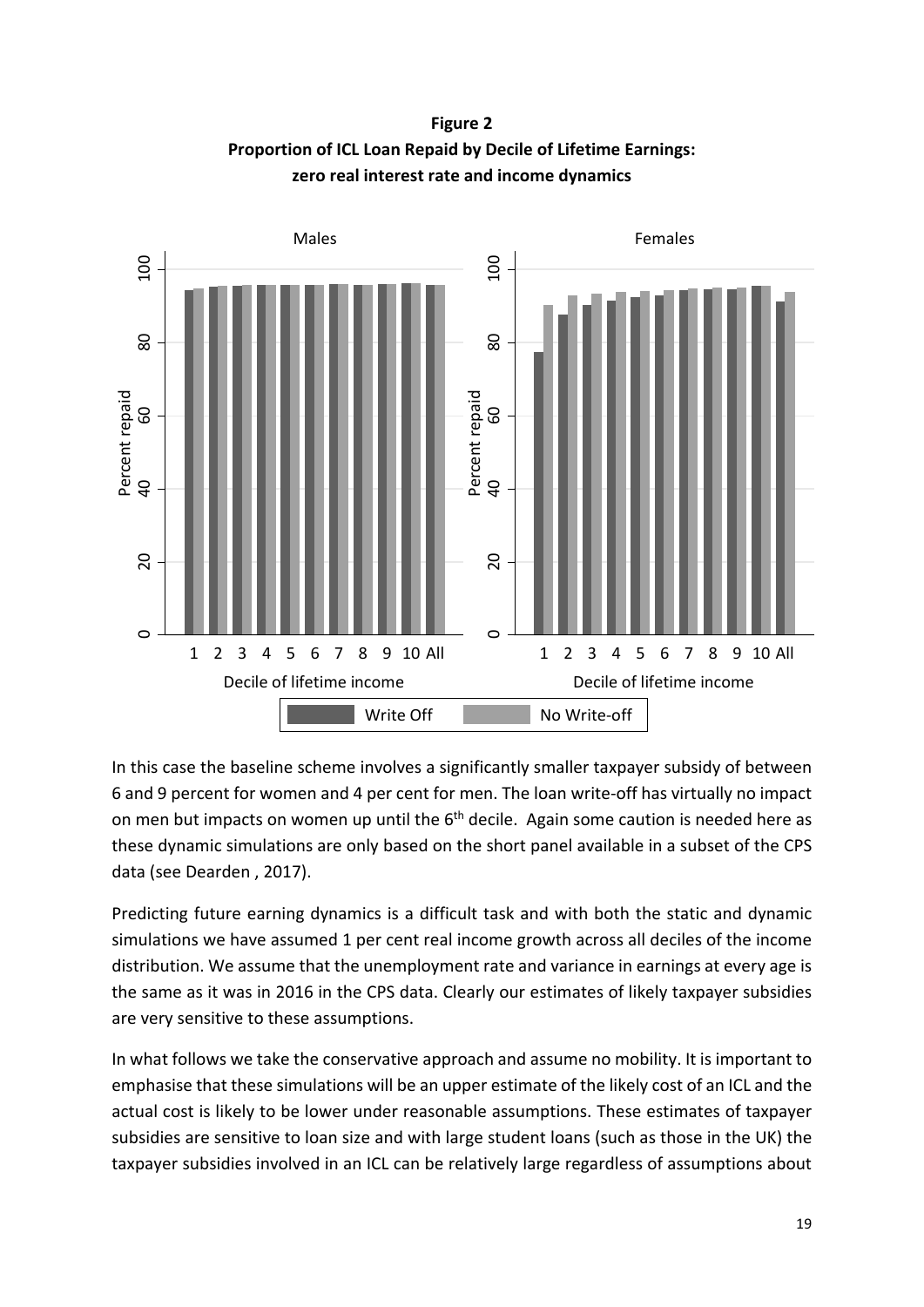**Figure 2 Proportion of ICL Loan Repaid by Decile of Lifetime Earnings: zero real interest rate and income dynamics**



In this case the baseline scheme involves a significantly smaller taxpayer subsidy of between 6 and 9 percent for women and 4 per cent for men. The loan write-off has virtually no impact on men but impacts on women up until the 6<sup>th</sup> decile. Again some caution is needed here as these dynamic simulations are only based on the short panel available in a subset of the CPS data (see Dearden , 2017).

Predicting future earning dynamics is a difficult task and with both the static and dynamic simulations we have assumed 1 per cent real income growth across all deciles of the income distribution. We assume that the unemployment rate and variance in earnings at every age is the same as it was in 2016 in the CPS data. Clearly our estimates of likely taxpayer subsidies are very sensitive to these assumptions.

In what follows we take the conservative approach and assume no mobility. It is important to emphasise that these simulations will be an upper estimate of the likely cost of an ICL and the actual cost is likely to be lower under reasonable assumptions. These estimates of taxpayer subsidies are sensitive to loan size and with large student loans (such as those in the UK) the taxpayer subsidies involved in an ICL can be relatively large regardless of assumptions about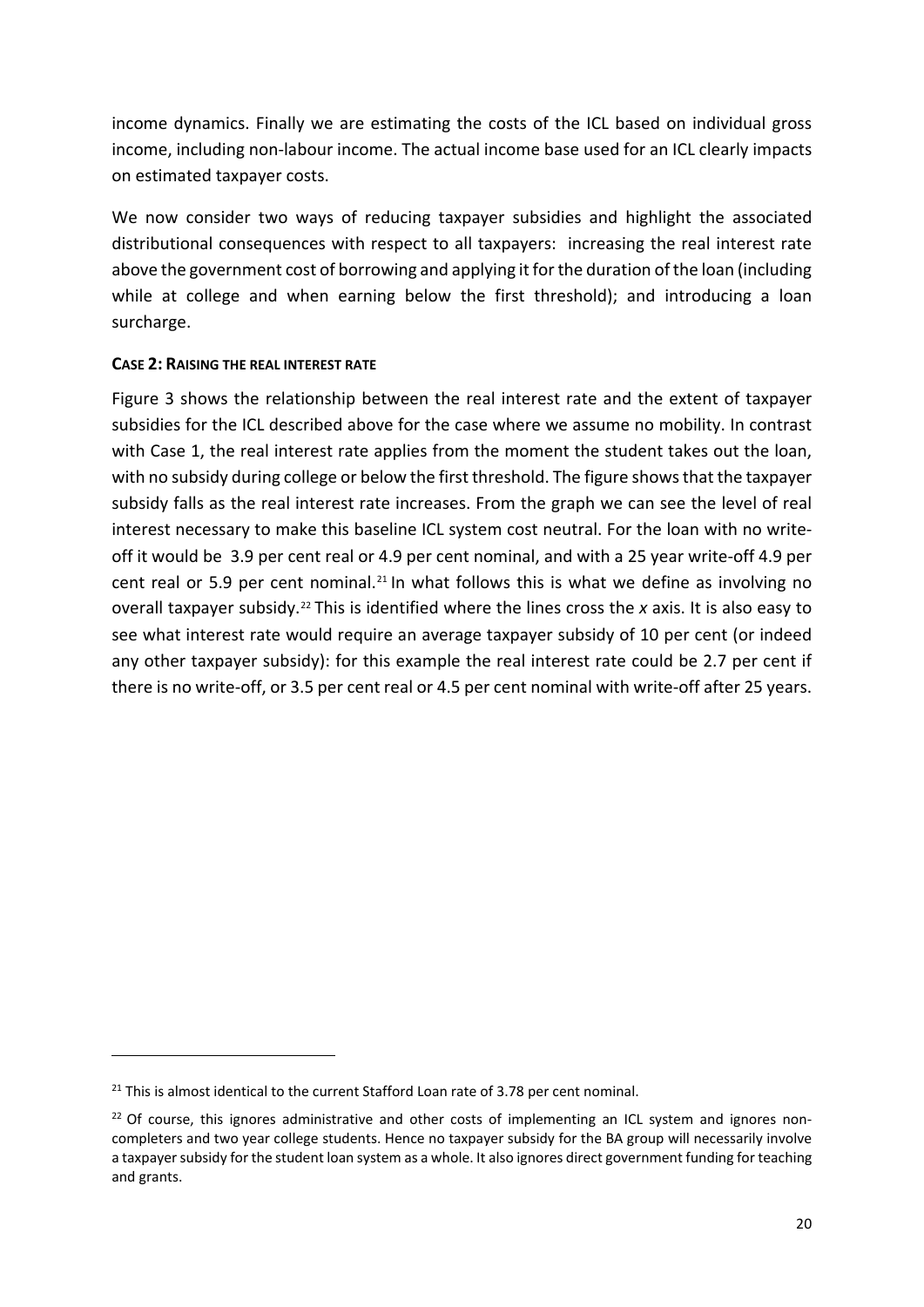income dynamics. Finally we are estimating the costs of the ICL based on individual gross income, including non-labour income. The actual income base used for an ICL clearly impacts on estimated taxpayer costs.

We now consider two ways of reducing taxpayer subsidies and highlight the associated distributional consequences with respect to all taxpayers: increasing the real interest rate above the government cost of borrowing and applying it for the duration of the loan (including while at college and when earning below the first threshold); and introducing a loan surcharge.

## **CASE 2: RAISING THE REAL INTEREST RATE**

Figure 3 shows the relationship between the real interest rate and the extent of taxpayer subsidies for the ICL described above for the case where we assume no mobility. In contrast with Case 1, the real interest rate applies from the moment the student takes out the loan, with no subsidy during college or below the first threshold. The figure shows that the taxpayer subsidy falls as the real interest rate increases. From the graph we can see the level of real interest necessary to make this baseline ICL system cost neutral. For the loan with no writeoff it would be 3.9 per cent real or 4.9 per cent nominal, and with a 25 year write-off 4.9 per cent real or 5.9 per cent nominal.<sup>[21](#page-21-0)</sup> In what follows this is what we define as involving no overall taxpayer subsidy.[22](#page-21-1) This is identified where the lines cross the *x* axis. It is also easy to see what interest rate would require an average taxpayer subsidy of 10 per cent (or indeed any other taxpayer subsidy): for this example the real interest rate could be 2.7 per cent if there is no write-off, or 3.5 per cent real or 4.5 per cent nominal with write-off after 25 years.

**.** 

<span id="page-21-0"></span> $21$  This is almost identical to the current Stafford Loan rate of 3.78 per cent nominal.

<span id="page-21-1"></span> $22$  Of course, this ignores administrative and other costs of implementing an ICL system and ignores noncompleters and two year college students. Hence no taxpayer subsidy for the BA group will necessarily involve a taxpayer subsidy for the student loan system as a whole. It also ignores direct government funding for teaching and grants.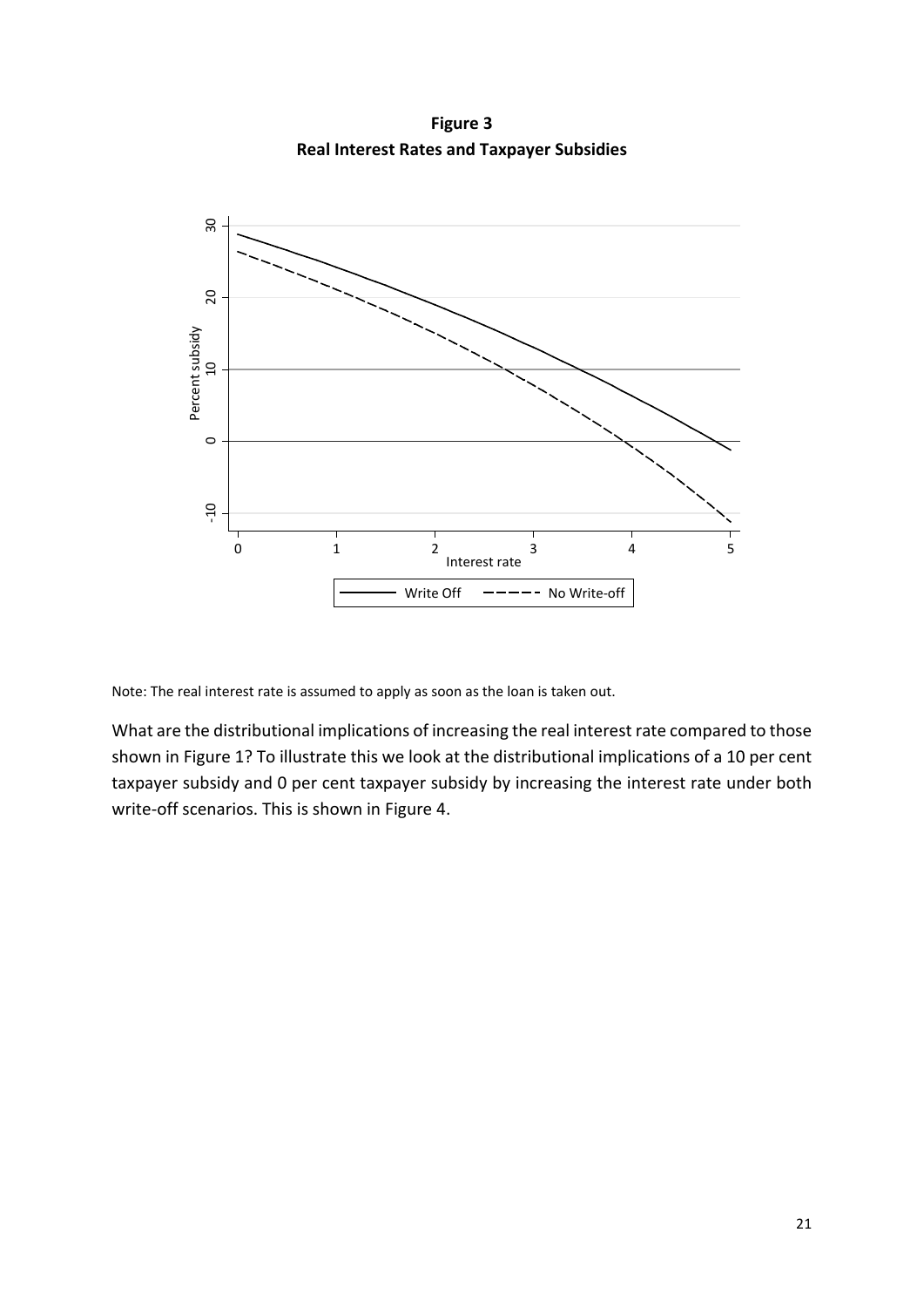**Figure 3 Real Interest Rates and Taxpayer Subsidies**



Note: The real interest rate is assumed to apply as soon as the loan is taken out.

What are the distributional implications of increasing the real interest rate compared to those shown in Figure 1? To illustrate this we look at the distributional implications of a 10 per cent taxpayer subsidy and 0 per cent taxpayer subsidy by increasing the interest rate under both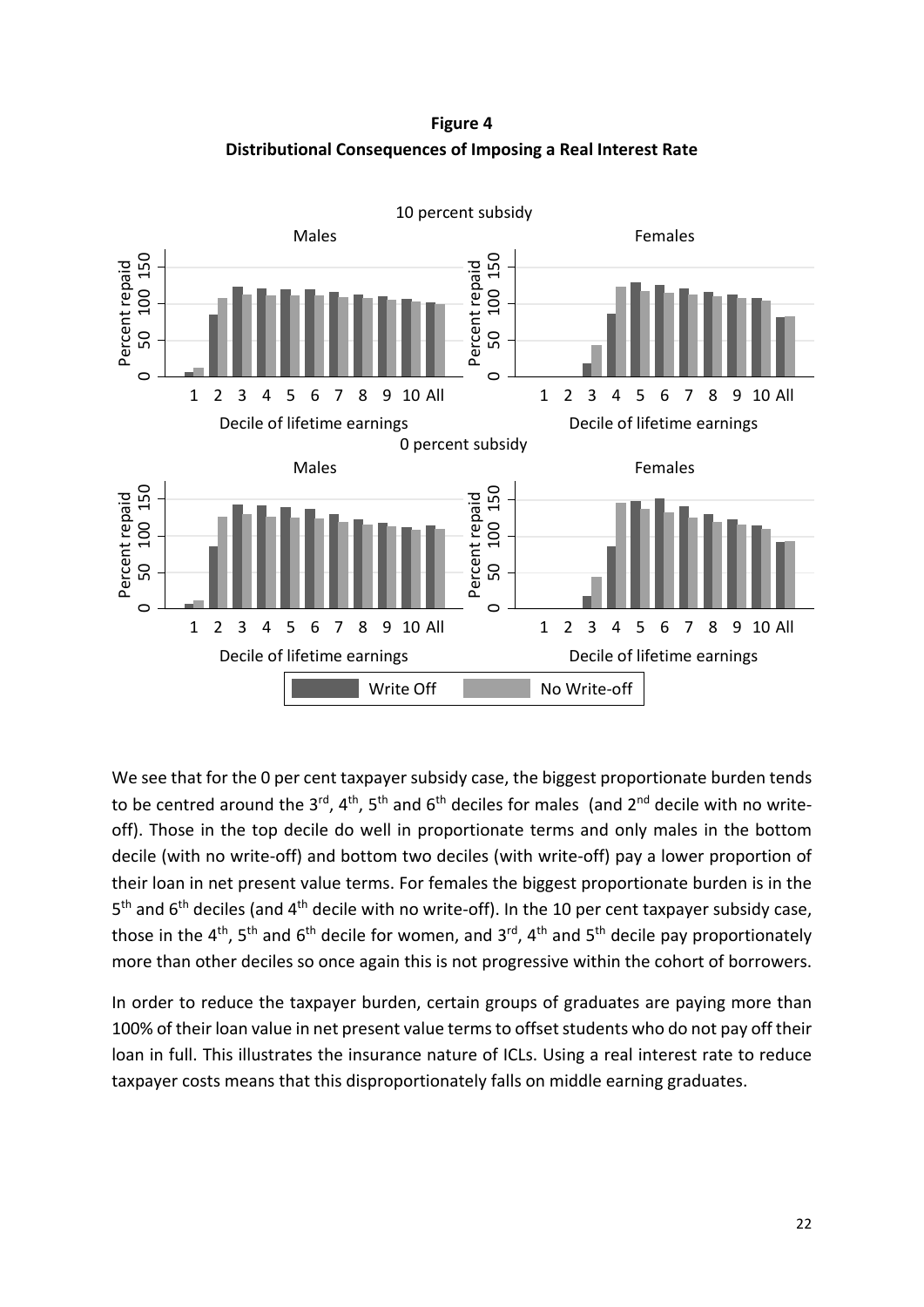**Figure 4 Distributional Consequences of Imposing a Real Interest Rate**



We see that for the 0 per cent taxpayer subsidy case, the biggest proportionate burden tends to be centred around the  $3^{rd}$ ,  $4^{th}$ ,  $5^{th}$  and  $6^{th}$  deciles for males (and  $2^{nd}$  decile with no writeoff). Those in the top decile do well in proportionate terms and only males in the bottom decile (with no write-off) and bottom two deciles (with write-off) pay a lower proportion of their loan in net present value terms. For females the biggest proportionate burden is in the 5<sup>th</sup> and 6<sup>th</sup> deciles (and 4<sup>th</sup> decile with no write-off). In the 10 per cent taxpayer subsidy case, those in the 4<sup>th</sup>, 5<sup>th</sup> and 6<sup>th</sup> decile for women, and 3<sup>rd</sup>, 4<sup>th</sup> and 5<sup>th</sup> decile pay proportionately more than other deciles so once again this is not progressive within the cohort of borrowers.

In order to reduce the taxpayer burden, certain groups of graduates are paying more than 100% of their loan value in net present value terms to offset students who do not pay off their loan in full. This illustrates the insurance nature of ICLs. Using a real interest rate to reduce taxpayer costs means that this disproportionately falls on middle earning graduates.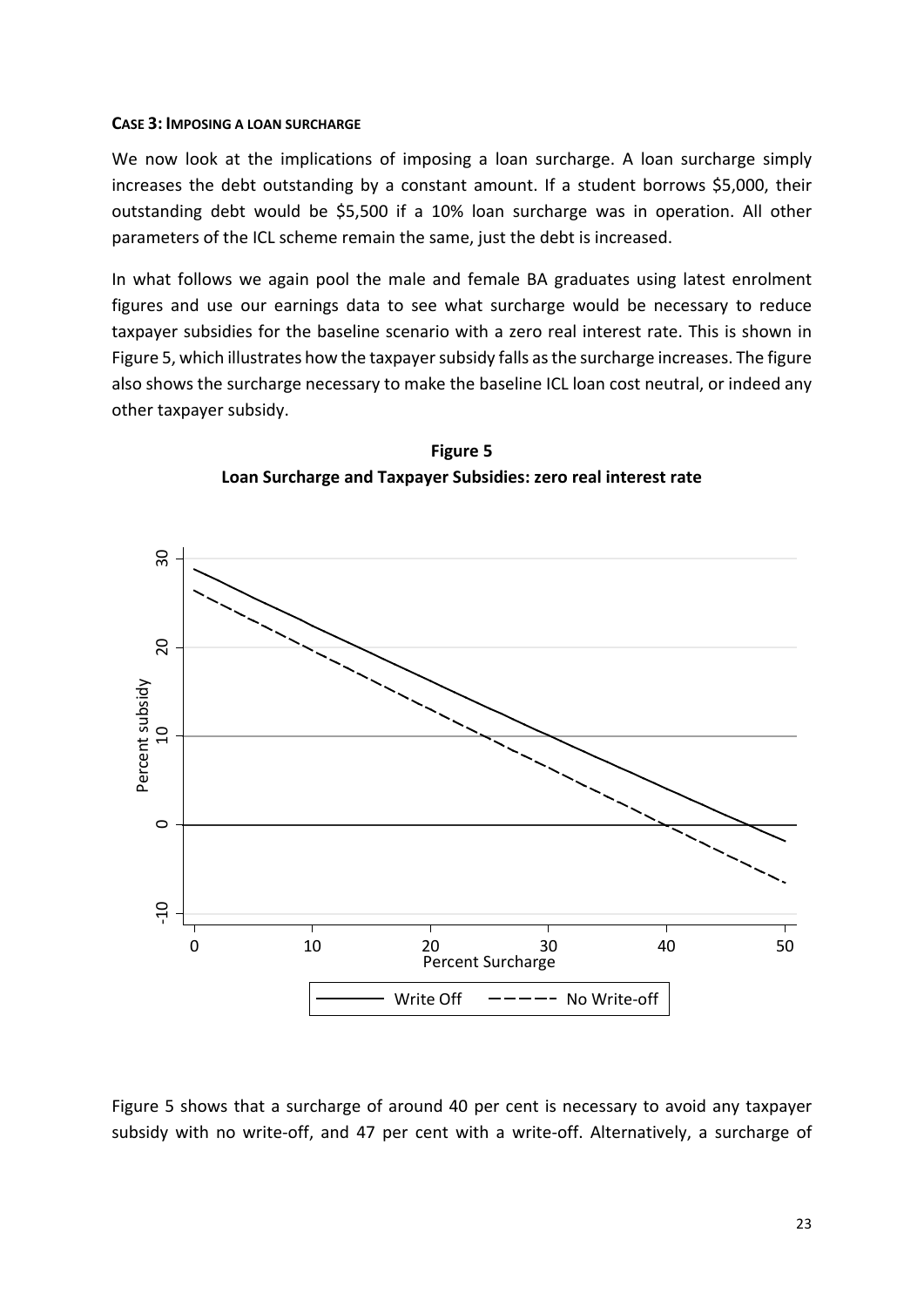### **CASE 3: IMPOSING A LOAN SURCHARGE**

We now look at the implications of imposing a loan surcharge. A loan surcharge simply increases the debt outstanding by a constant amount. If a student borrows \$5,000, their outstanding debt would be \$5,500 if a 10% loan surcharge was in operation. All other parameters of the ICL scheme remain the same, just the debt is increased.

In what follows we again pool the male and female BA graduates using latest enrolment figures and use our earnings data to see what surcharge would be necessary to reduce taxpayer subsidies for the baseline scenario with a zero real interest rate. This is shown in Figure 5, which illustrates how the taxpayer subsidy falls as the surcharge increases. The figure also shows the surcharge necessary to make the baseline ICL loan cost neutral, or indeed any other taxpayer subsidy.





Figure 5 shows that a surcharge of around 40 per cent is necessary to avoid any taxpayer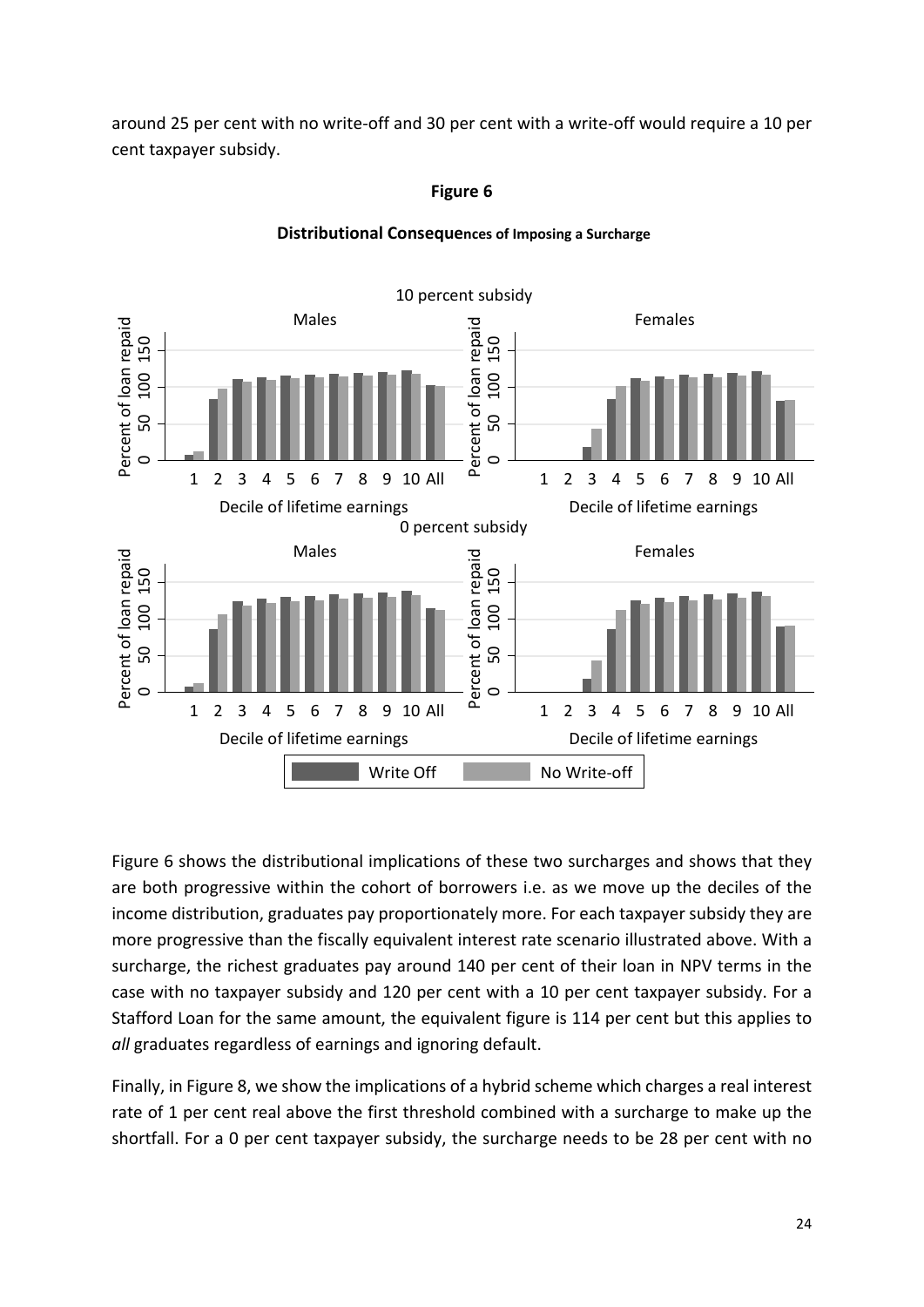around 25 per cent with no write-off and 30 per cent with a write-off would require a 10 per cent taxpayer subsidy.

**Figure 6**



# **Distributional Consequences of Imposing a Surcharge**

Figure 6 shows the distributional implications of these two surcharges and shows that they are both progressive within the cohort of borrowers i.e. as we move up the deciles of the income distribution, graduates pay proportionately more. For each taxpayer subsidy they are more progressive than the fiscally equivalent interest rate scenario illustrated above. With a surcharge, the richest graduates pay around 140 per cent of their loan in NPV terms in the case with no taxpayer subsidy and 120 per cent with a 10 per cent taxpayer subsidy. For a Stafford Loan for the same amount, the equivalent figure is 114 per cent but this applies to *all* graduates regardless of earnings and ignoring default.

Finally, in Figure 8, we show the implications of a hybrid scheme which charges a real interest rate of 1 per cent real above the first threshold combined with a surcharge to make up the shortfall. For a 0 per cent taxpayer subsidy, the surcharge needs to be 28 per cent with no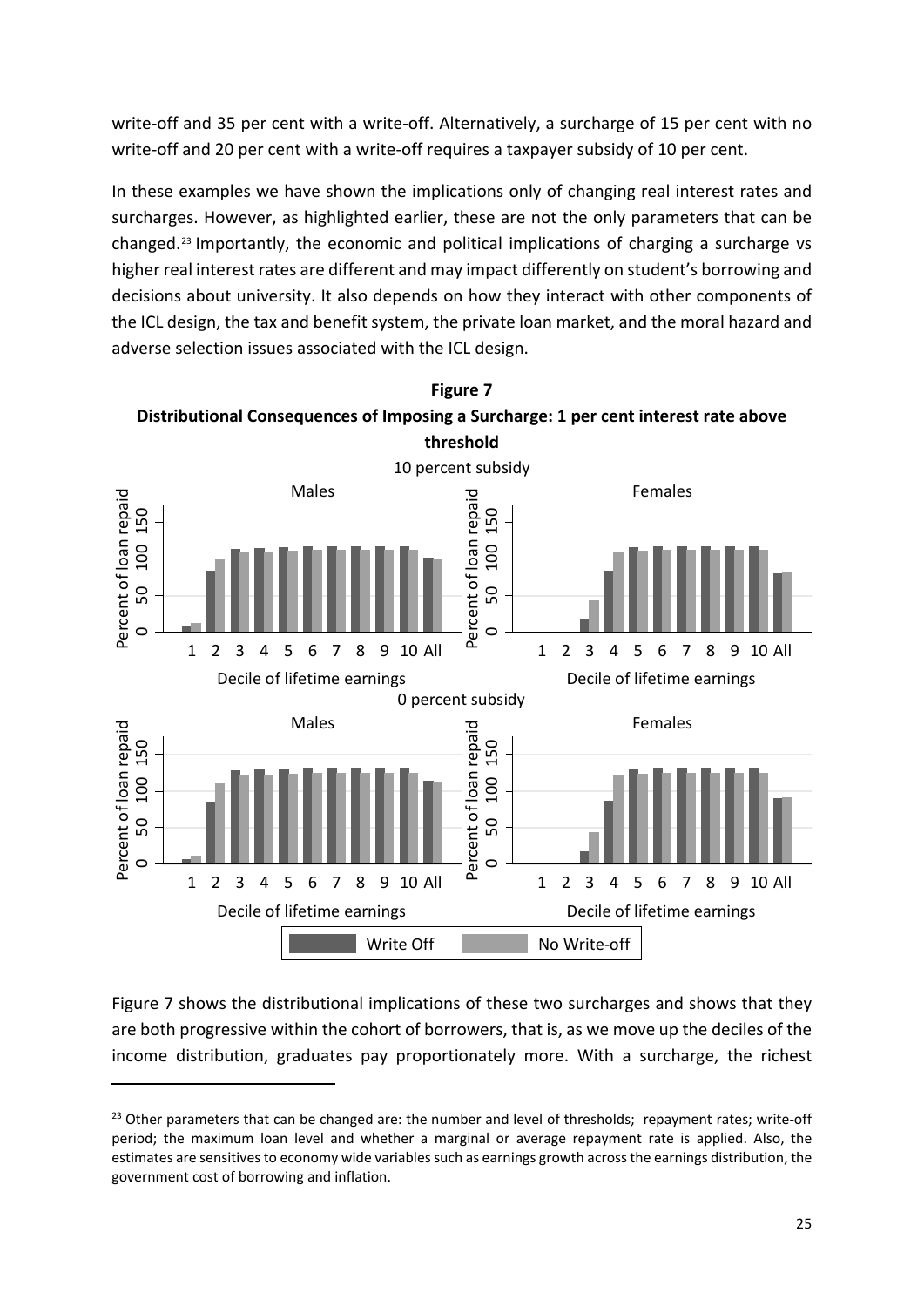write-off and 35 per cent with a write-off. Alternatively, a surcharge of 15 per cent with no write-off and 20 per cent with a write-off requires a taxpayer subsidy of 10 per cent.

In these examples we have shown the implications only of changing real interest rates and surcharges. However, as highlighted earlier, these are not the only parameters that can be changed.[23](#page-26-0) Importantly, the economic and political implications of charging a surcharge vs higher real interest rates are different and may impact differently on student's borrowing and decisions about university. It also depends on how they interact with other components of the ICL design, the tax and benefit system, the private loan market, and the moral hazard and adverse selection issues associated with the ICL design.



Figure 7 shows the distributional implications of these two surcharges and shows that they are both progressive within the cohort of borrowers, that is, as we move up the deciles of the income distribution, graduates pay proportionately more. With a surcharge, the richest

1

<span id="page-26-0"></span> $^{23}$  Other parameters that can be changed are: the number and level of thresholds; repayment rates; write-off period; the maximum loan level and whether a marginal or average repayment rate is applied. Also, the estimates are sensitives to economy wide variables such as earnings growth across the earnings distribution, the government cost of borrowing and inflation.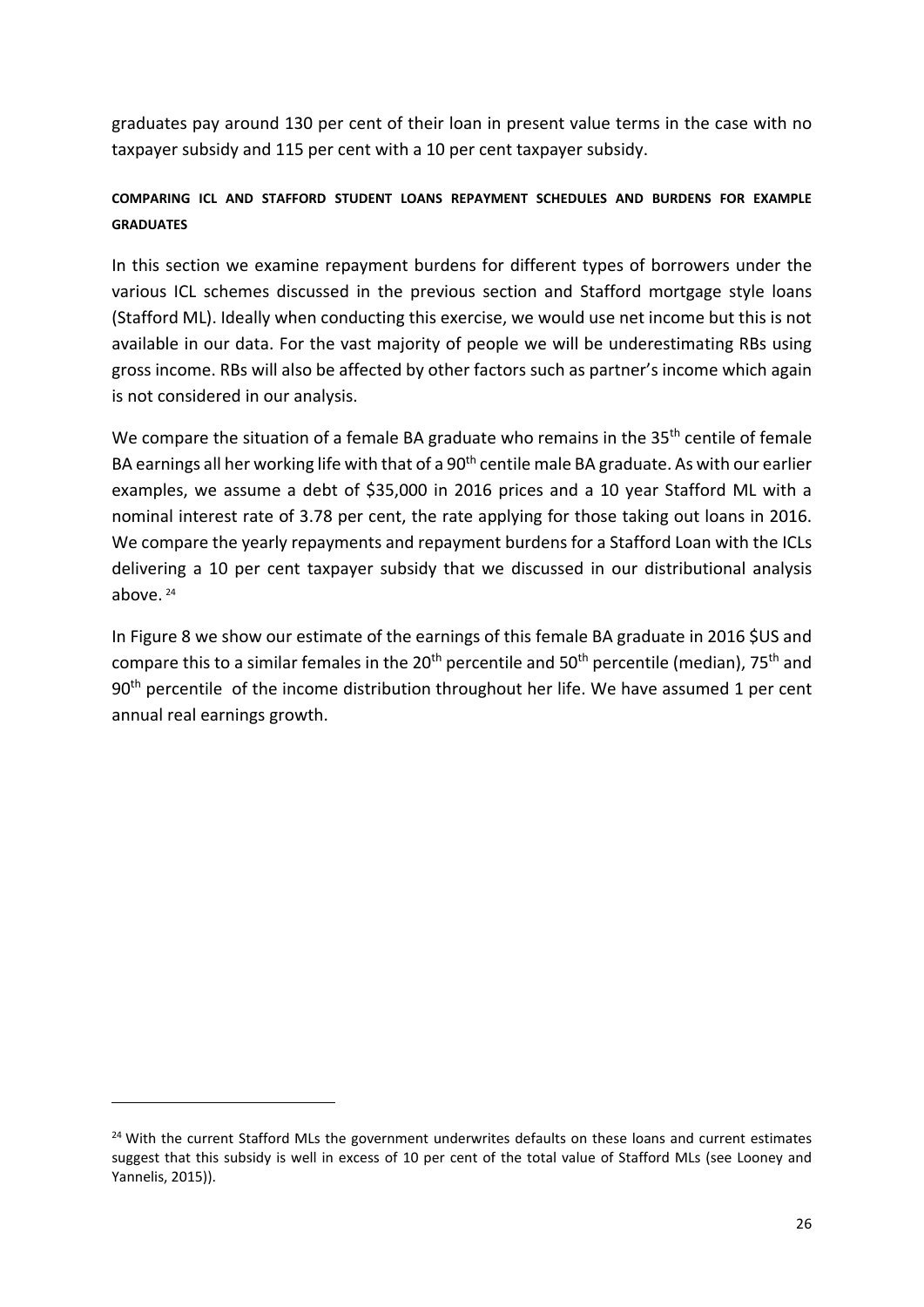graduates pay around 130 per cent of their loan in present value terms in the case with no taxpayer subsidy and 115 per cent with a 10 per cent taxpayer subsidy.

# **COMPARING ICL AND STAFFORD STUDENT LOANS REPAYMENT SCHEDULES AND BURDENS FOR EXAMPLE GRADUATES**

In this section we examine repayment burdens for different types of borrowers under the various ICL schemes discussed in the previous section and Stafford mortgage style loans (Stafford ML). Ideally when conducting this exercise, we would use net income but this is not available in our data. For the vast majority of people we will be underestimating RBs using gross income. RBs will also be affected by other factors such as partner's income which again is not considered in our analysis.

We compare the situation of a female BA graduate who remains in the 35<sup>th</sup> centile of female BA earnings all her working life with that of a 90<sup>th</sup> centile male BA graduate. As with our earlier examples, we assume a debt of \$35,000 in 2016 prices and a 10 year Stafford ML with a nominal interest rate of 3.78 per cent, the rate applying for those taking out loans in 2016. We compare the yearly repayments and repayment burdens for a Stafford Loan with the ICLs delivering a 10 per cent taxpayer subsidy that we discussed in our distributional analysis above. [24](#page-27-0)

In Figure 8 we show our estimate of the earnings of this female BA graduate in 2016 \$US and compare this to a similar females in the 20<sup>th</sup> percentile and 50<sup>th</sup> percentile (median), 75<sup>th</sup> and 90<sup>th</sup> percentile of the income distribution throughout her life. We have assumed 1 per cent annual real earnings growth.

**.** 

<span id="page-27-0"></span><sup>&</sup>lt;sup>24</sup> With the current Stafford MLs the government underwrites defaults on these loans and current estimates suggest that this subsidy is well in excess of 10 per cent of the total value of Stafford MLs (see Looney and Yannelis, 2015)).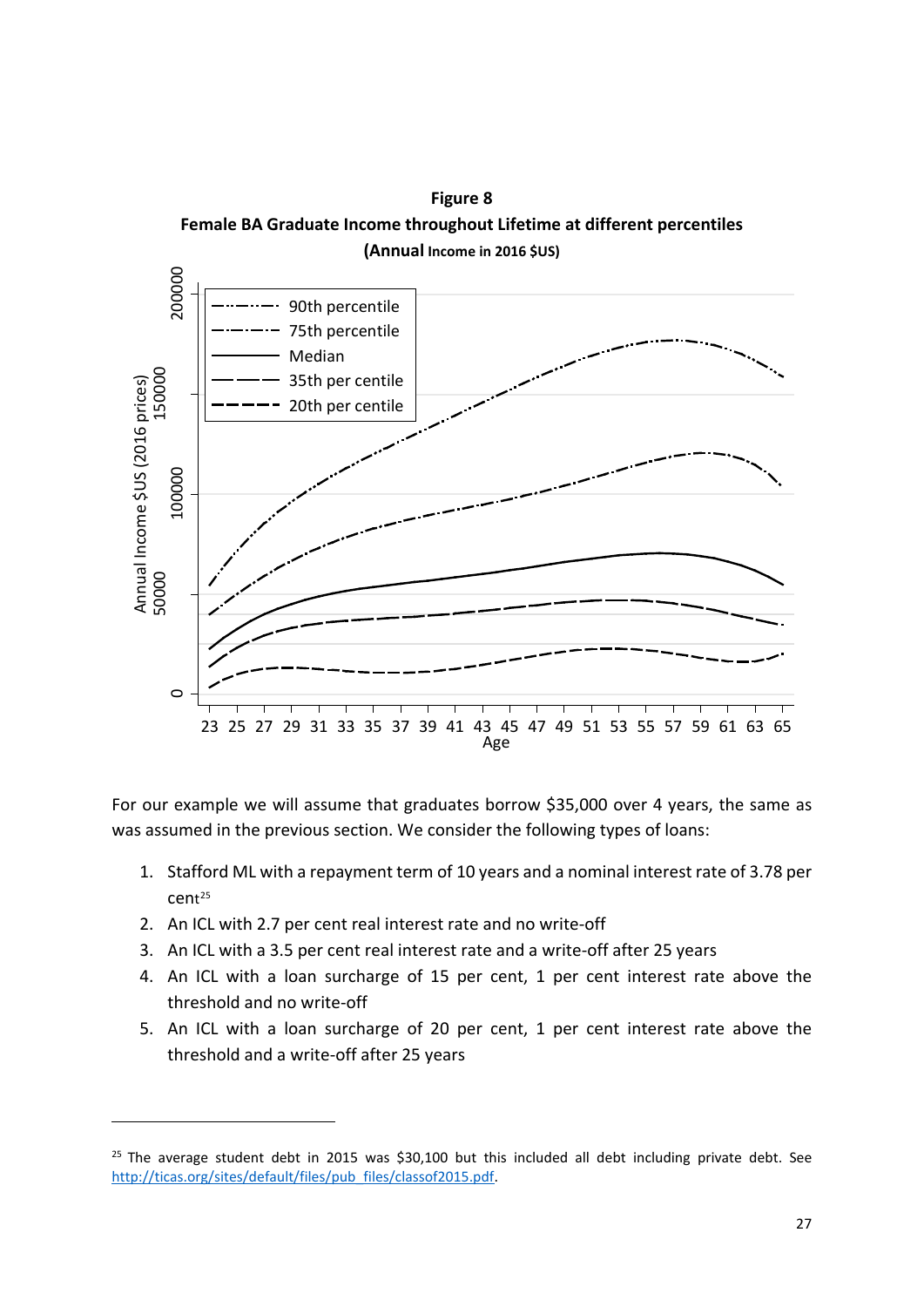



For our example we will assume that graduates borrow \$35,000 over 4 years, the same as was assumed in the previous section. We consider the following types of loans:

- 1. Stafford ML with a repayment term of 10 years and a nominal interest rate of 3.78 per cent[25](#page-28-0)
- 2. An ICL with 2.7 per cent real interest rate and no write-off

1

- 3. An ICL with a 3.5 per cent real interest rate and a write-off after 25 years
- 4. An ICL with a loan surcharge of 15 per cent, 1 per cent interest rate above the threshold and no write-off
- 5. An ICL with a loan surcharge of 20 per cent, 1 per cent interest rate above the threshold and a write-off after 25 years

<span id="page-28-0"></span> $25$  The average student debt in 2015 was \$30,100 but this included all debt including private debt. See [http://ticas.org/sites/default/files/pub\\_files/classof2015.pdf.](http://ticas.org/sites/default/files/pub_files/classof2015.pdf)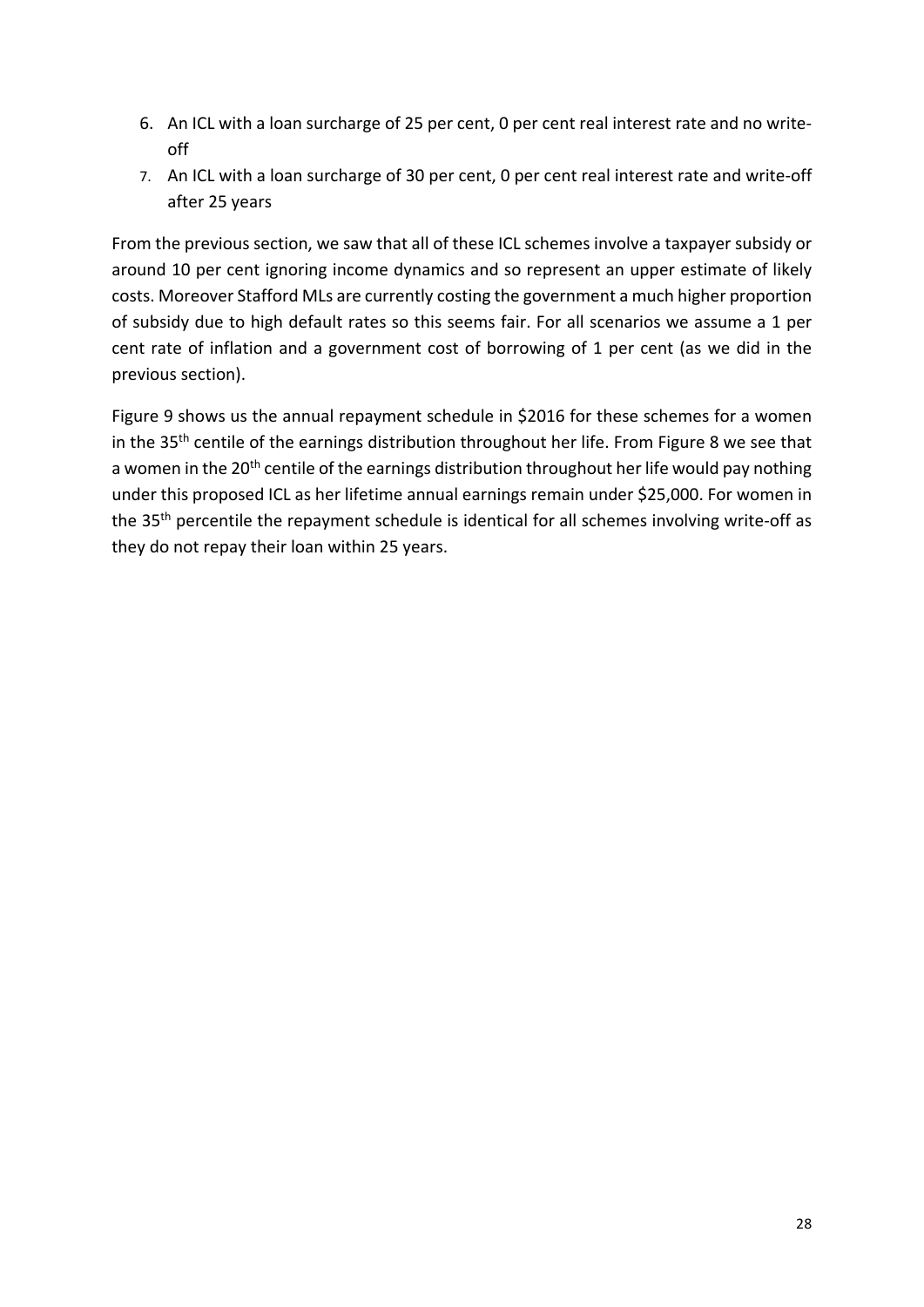- 6. An ICL with a loan surcharge of 25 per cent, 0 per cent real interest rate and no writeoff
- 7. An ICL with a loan surcharge of 30 per cent, 0 per cent real interest rate and write-off after 25 years

From the previous section, we saw that all of these ICL schemes involve a taxpayer subsidy or around 10 per cent ignoring income dynamics and so represent an upper estimate of likely costs. Moreover Stafford MLs are currently costing the government a much higher proportion of subsidy due to high default rates so this seems fair. For all scenarios we assume a 1 per cent rate of inflation and a government cost of borrowing of 1 per cent (as we did in the previous section).

Figure 9 shows us the annual repayment schedule in \$2016 for these schemes for a women in the 35<sup>th</sup> centile of the earnings distribution throughout her life. From Figure 8 we see that a women in the 20<sup>th</sup> centile of the earnings distribution throughout her life would pay nothing under this proposed ICL as her lifetime annual earnings remain under \$25,000. For women in the 35<sup>th</sup> percentile the repayment schedule is identical for all schemes involving write-off as they do not repay their loan within 25 years.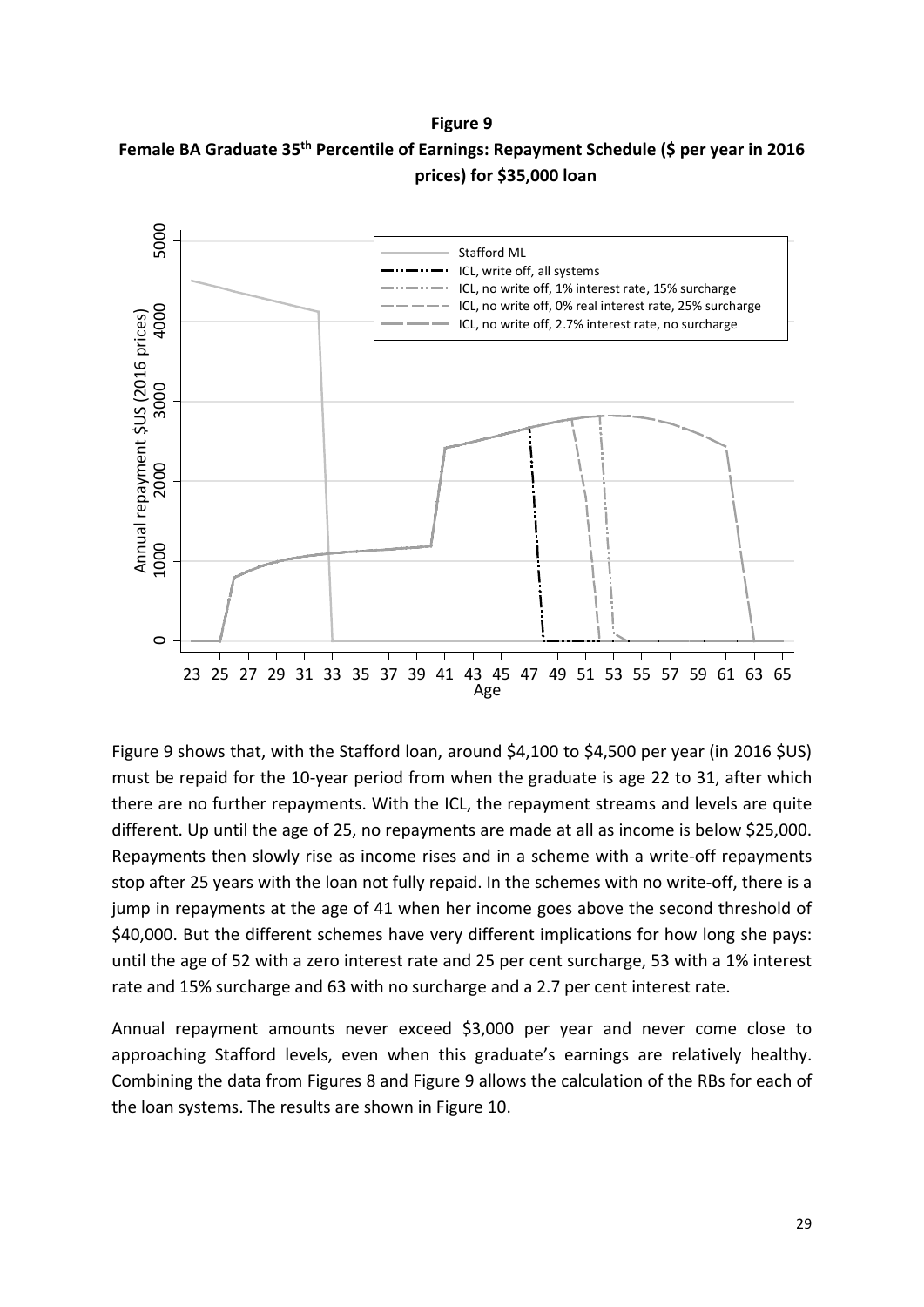#### **Figure 9**





Figure 9 shows that, with the Stafford loan, around \$4,100 to \$4,500 per year (in 2016 \$US) must be repaid for the 10-year period from when the graduate is age 22 to 31, after which there are no further repayments. With the ICL, the repayment streams and levels are quite different. Up until the age of 25, no repayments are made at all as income is below \$25,000. Repayments then slowly rise as income rises and in a scheme with a write-off repayments stop after 25 years with the loan not fully repaid. In the schemes with no write-off, there is a jump in repayments at the age of 41 when her income goes above the second threshold of \$40,000. But the different schemes have very different implications for how long she pays: until the age of 52 with a zero interest rate and 25 per cent surcharge, 53 with a 1% interest rate and 15% surcharge and 63 with no surcharge and a 2.7 per cent interest rate.

Annual repayment amounts never exceed \$3,000 per year and never come close to approaching Stafford levels, even when this graduate's earnings are relatively healthy. Combining the data from Figures 8 and Figure 9 allows the calculation of the RBs for each of the loan systems. The results are shown in Figure 10.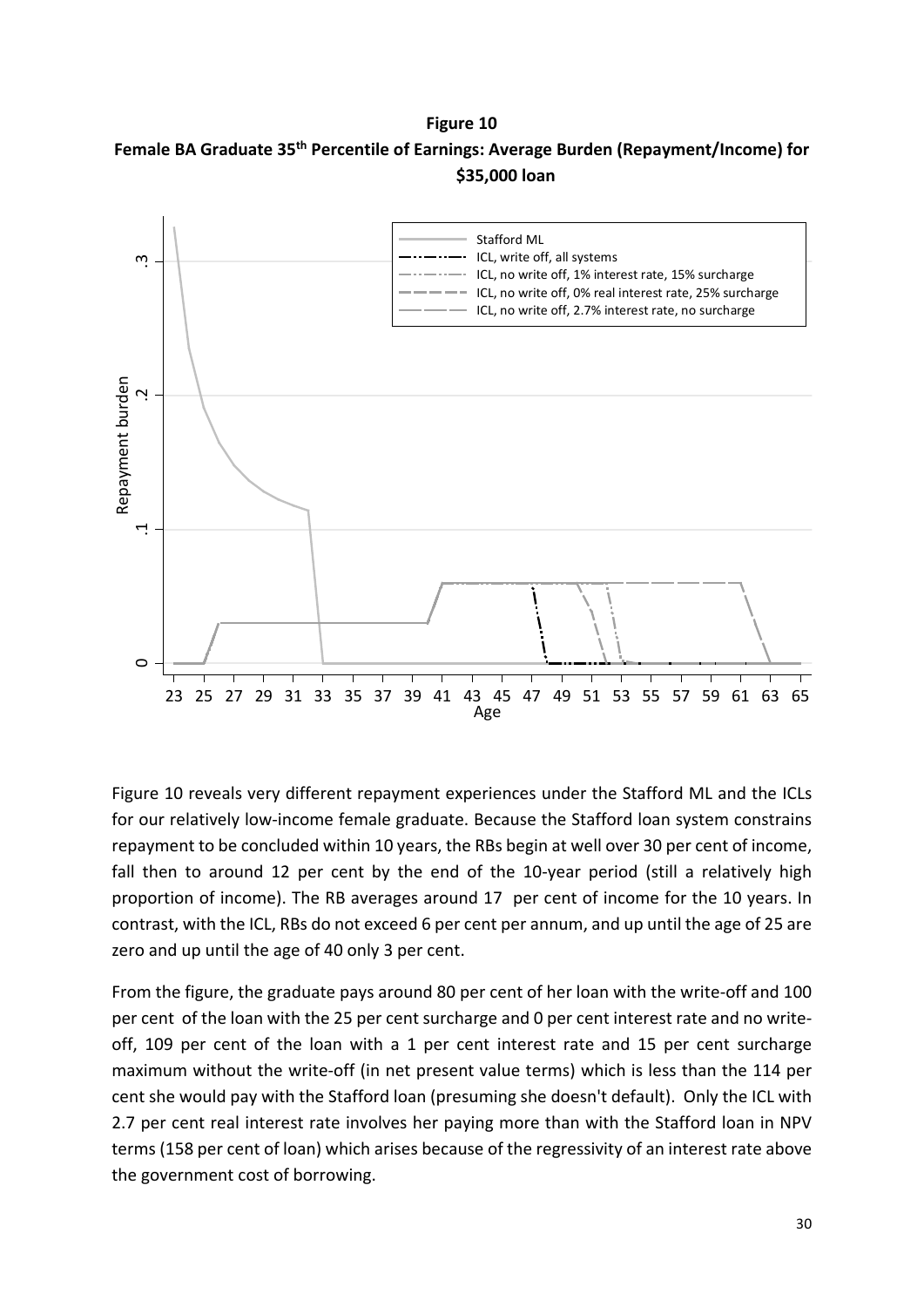**Figure 10**





Figure 10 reveals very different repayment experiences under the Stafford ML and the ICLs for our relatively low-income female graduate. Because the Stafford loan system constrains repayment to be concluded within 10 years, the RBs begin at well over 30 per cent of income, fall then to around 12 per cent by the end of the 10-year period (still a relatively high proportion of income). The RB averages around 17 per cent of income for the 10 years. In contrast, with the ICL, RBs do not exceed 6 per cent per annum, and up until the age of 25 are zero and up until the age of 40 only 3 per cent.

From the figure, the graduate pays around 80 per cent of her loan with the write-off and 100 per cent of the loan with the 25 per cent surcharge and 0 per cent interest rate and no writeoff, 109 per cent of the loan with a 1 per cent interest rate and 15 per cent surcharge maximum without the write-off (in net present value terms) which is less than the 114 per cent she would pay with the Stafford loan (presuming she doesn't default). Only the ICL with 2.7 per cent real interest rate involves her paying more than with the Stafford loan in NPV terms (158 per cent of loan) which arises because of the regressivity of an interest rate above the government cost of borrowing.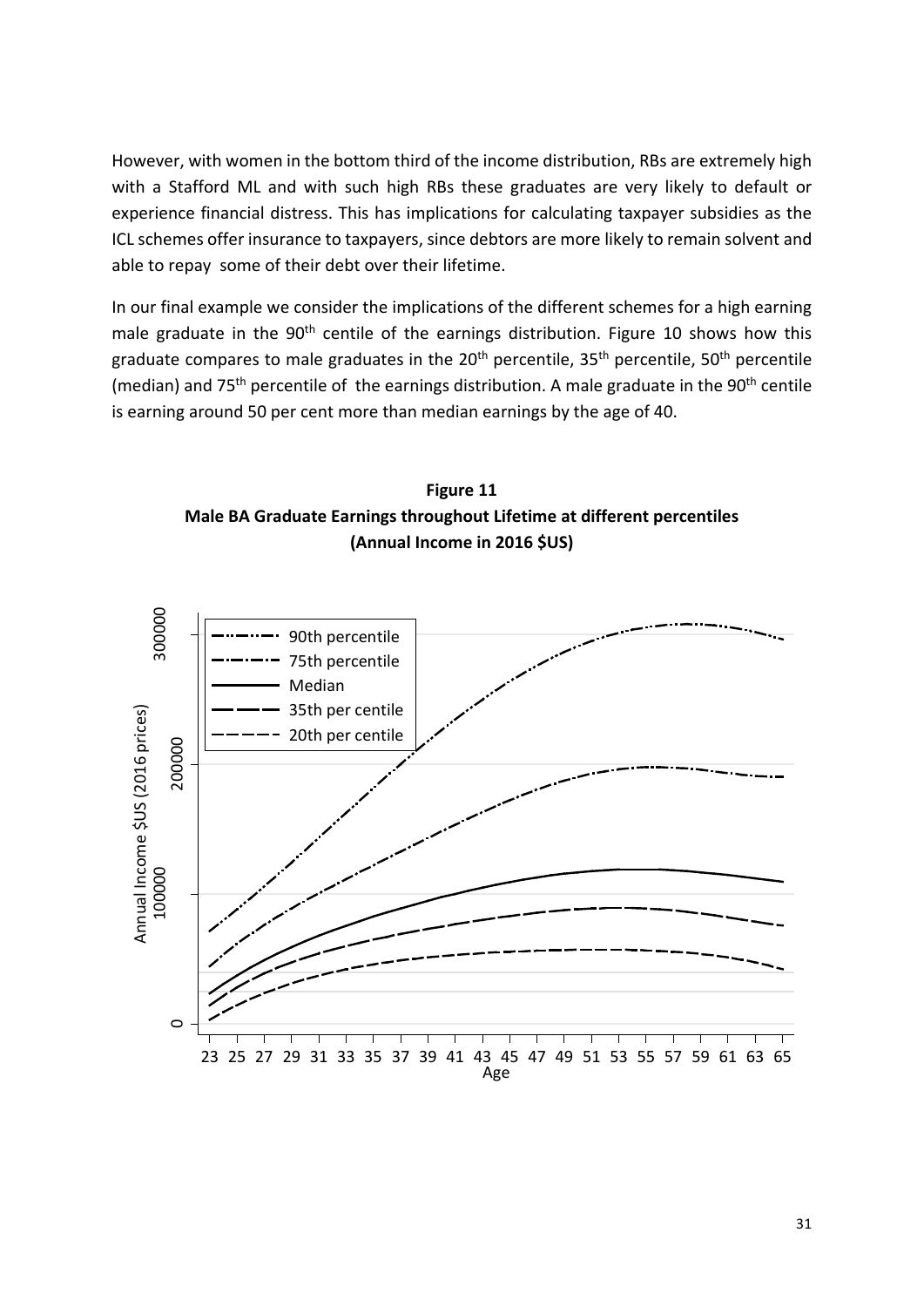However, with women in the bottom third of the income distribution, RBs are extremely high with a Stafford ML and with such high RBs these graduates are very likely to default or experience financial distress. This has implications for calculating taxpayer subsidies as the ICL schemes offer insurance to taxpayers, since debtors are more likely to remain solvent and able to repay some of their debt over their lifetime.

In our final example we consider the implications of the different schemes for a high earning male graduate in the 90<sup>th</sup> centile of the earnings distribution. Figure 10 shows how this graduate compares to male graduates in the  $20<sup>th</sup>$  percentile,  $35<sup>th</sup>$  percentile,  $50<sup>th</sup>$  percentile (median) and  $75<sup>th</sup>$  percentile of the earnings distribution. A male graduate in the  $90<sup>th</sup>$  centile is earning around 50 per cent more than median earnings by the age of 40.



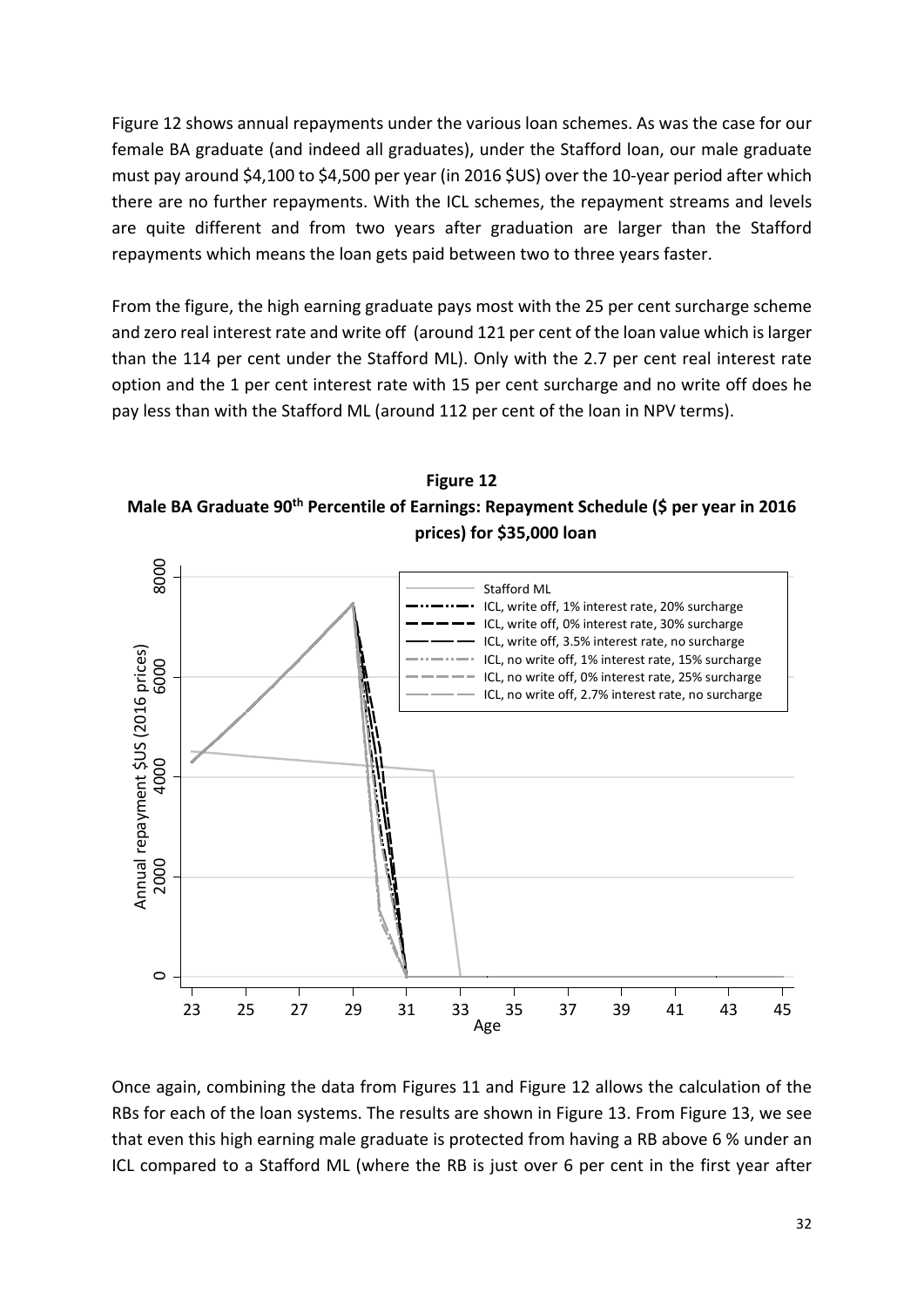Figure 12 shows annual repayments under the various loan schemes. As was the case for our female BA graduate (and indeed all graduates), under the Stafford loan, our male graduate must pay around \$4,100 to \$4,500 per year (in 2016 \$US) over the 10-year period after which there are no further repayments. With the ICL schemes, the repayment streams and levels are quite different and from two years after graduation are larger than the Stafford repayments which means the loan gets paid between two to three years faster.

From the figure, the high earning graduate pays most with the 25 per cent surcharge scheme and zero real interest rate and write off (around 121 per cent of the loan value which is larger than the 114 per cent under the Stafford ML). Only with the 2.7 per cent real interest rate option and the 1 per cent interest rate with 15 per cent surcharge and no write off does he pay less than with the Stafford ML (around 112 per cent of the loan in NPV terms).





Once again, combining the data from Figures 11 and Figure 12 allows the calculation of the RBs for each of the loan systems. The results are shown in Figure 13. From Figure 13, we see that even this high earning male graduate is protected from having a RB above 6 % under an ICL compared to a Stafford ML (where the RB is just over 6 per cent in the first year after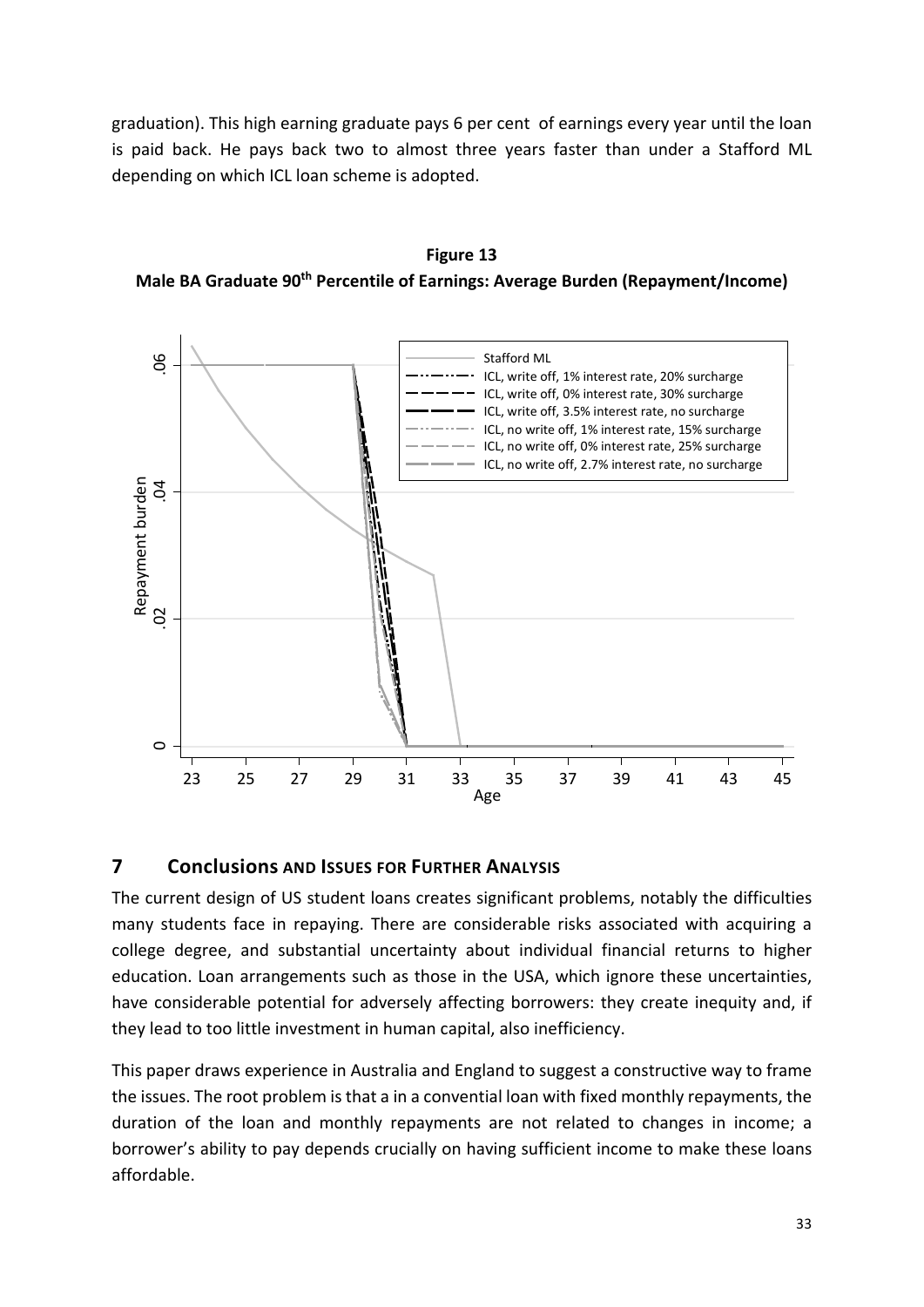graduation). This high earning graduate pays 6 per cent of earnings every year until the loan is paid back. He pays back two to almost three years faster than under a Stafford ML depending on which ICL loan scheme is adopted.





## **7 Conclusions AND ISSUES FOR FURTHER ANALYSIS**

The current design of US student loans creates significant problems, notably the difficulties many students face in repaying. There are considerable risks associated with acquiring a college degree, and substantial uncertainty about individual financial returns to higher education. Loan arrangements such as those in the USA, which ignore these uncertainties, have considerable potential for adversely affecting borrowers: they create inequity and, if they lead to too little investment in human capital, also inefficiency.

This paper draws experience in Australia and England to suggest a constructive way to frame the issues. The root problem is that a in a convential loan with fixed monthly repayments, the duration of the loan and monthly repayments are not related to changes in income; a borrower's ability to pay depends crucially on having sufficient income to make these loans affordable.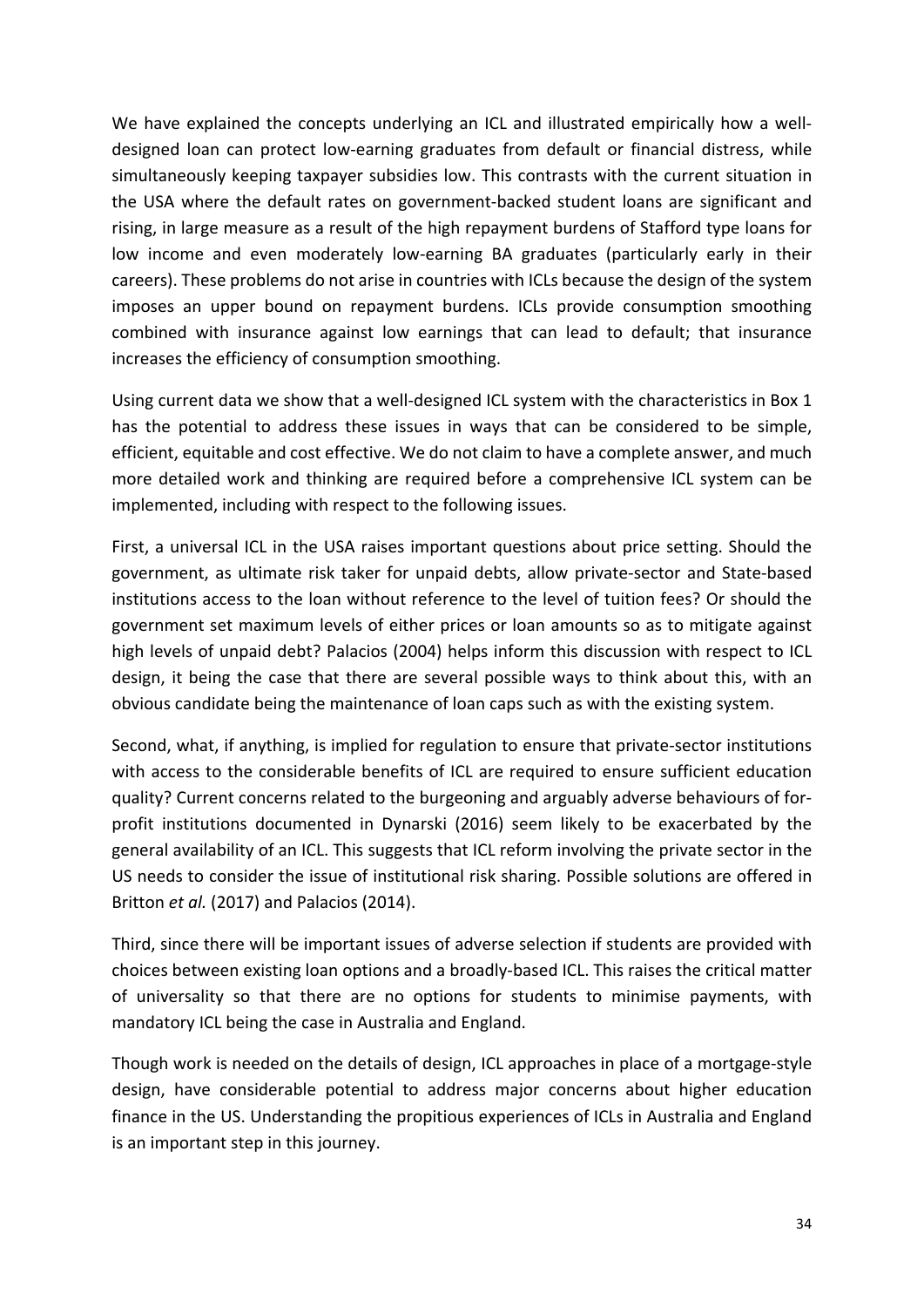We have explained the concepts underlying an ICL and illustrated empirically how a welldesigned loan can protect low-earning graduates from default or financial distress, while simultaneously keeping taxpayer subsidies low. This contrasts with the current situation in the USA where the default rates on government-backed student loans are significant and rising, in large measure as a result of the high repayment burdens of Stafford type loans for low income and even moderately low-earning BA graduates (particularly early in their careers). These problems do not arise in countries with ICLs because the design of the system imposes an upper bound on repayment burdens. ICLs provide consumption smoothing combined with insurance against low earnings that can lead to default; that insurance increases the efficiency of consumption smoothing.

Using current data we show that a well-designed ICL system with the characteristics in Box 1 has the potential to address these issues in ways that can be considered to be simple, efficient, equitable and cost effective. We do not claim to have a complete answer, and much more detailed work and thinking are required before a comprehensive ICL system can be implemented, including with respect to the following issues.

First, a universal ICL in the USA raises important questions about price setting. Should the government, as ultimate risk taker for unpaid debts, allow private-sector and State-based institutions access to the loan without reference to the level of tuition fees? Or should the government set maximum levels of either prices or loan amounts so as to mitigate against high levels of unpaid debt? Palacios (2004) helps inform this discussion with respect to ICL design, it being the case that there are several possible ways to think about this, with an obvious candidate being the maintenance of loan caps such as with the existing system.

Second, what, if anything, is implied for regulation to ensure that private-sector institutions with access to the considerable benefits of ICL are required to ensure sufficient education quality? Current concerns related to the burgeoning and arguably adverse behaviours of forprofit institutions documented in Dynarski (2016) seem likely to be exacerbated by the general availability of an ICL. This suggests that ICL reform involving the private sector in the US needs to consider the issue of institutional risk sharing. Possible solutions are offered in Britton *et al.* (2017) and Palacios (2014).

Third, since there will be important issues of adverse selection if students are provided with choices between existing loan options and a broadly-based ICL. This raises the critical matter of universality so that there are no options for students to minimise payments, with mandatory ICL being the case in Australia and England.

Though work is needed on the details of design, ICL approaches in place of a mortgage-style design, have considerable potential to address major concerns about higher education finance in the US. Understanding the propitious experiences of ICLs in Australia and England is an important step in this journey.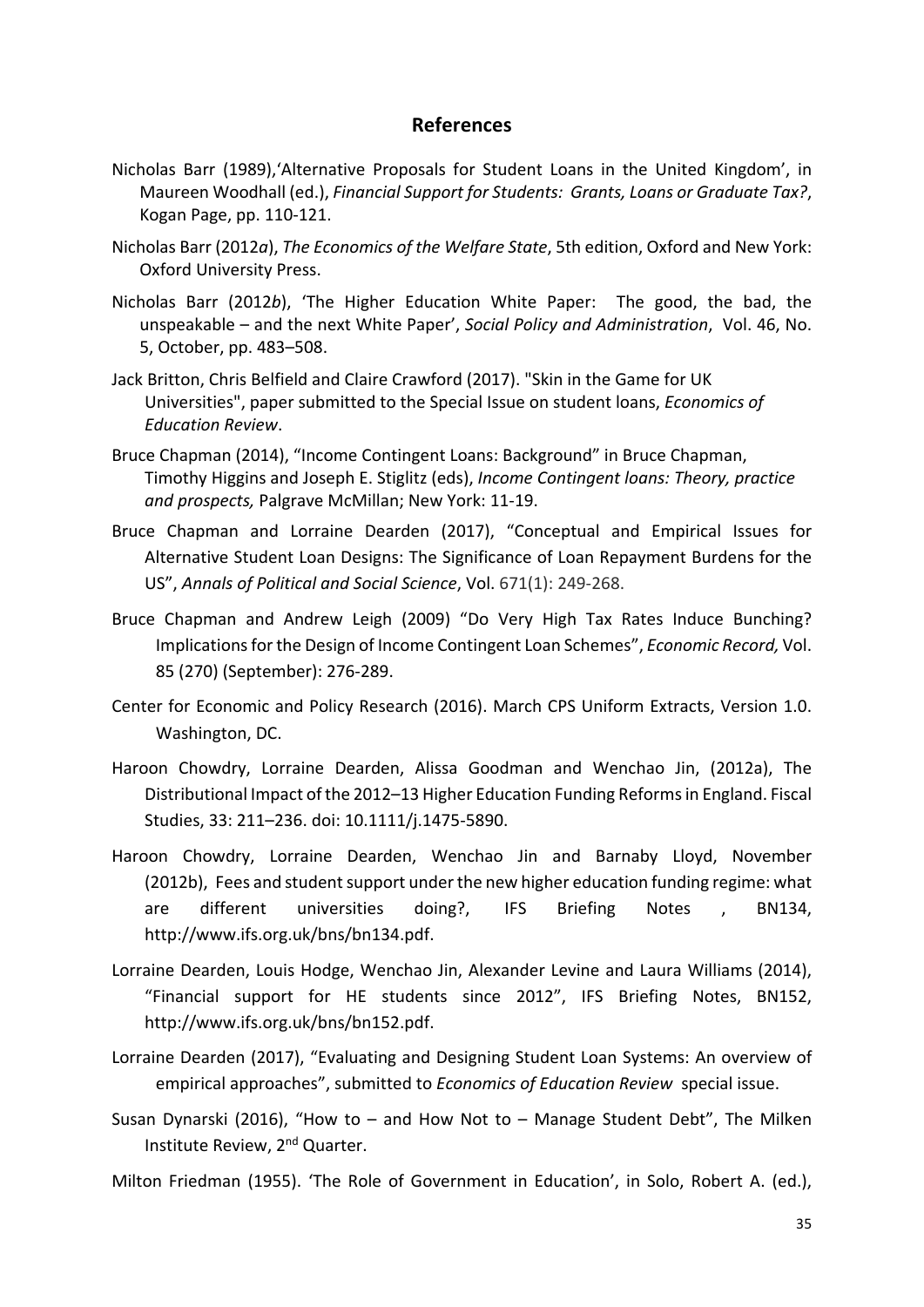## **References**

- Nicholas Barr (1989),'Alternative Proposals for Student Loans in the United Kingdom', in Maureen Woodhall (ed.), *Financial Support for Students: Grants, Loans or Graduate Tax?*, Kogan Page, pp. 110-121.
- Nicholas Barr (2012*a*), *The Economics of the Welfare State*, 5th edition, Oxford and New York: Oxford University Press.
- Nicholas Barr (2012*b*), 'The Higher Education White Paper: The good, the bad, the unspeakable – and the next White Paper', *Social Policy and Administration*, Vol. 46, No. 5, October, pp. 483–508.
- Jack Britton, Chris Belfield and Claire Crawford (2017). "Skin in the Game for UK Universities", paper submitted to the Special Issue on student loans, *Economics of Education Review*.
- Bruce Chapman (2014), "Income Contingent Loans: Background" in Bruce Chapman, Timothy Higgins and Joseph E. Stiglitz (eds), *Income Contingent loans: Theory, practice and prospects,* Palgrave McMillan; New York: 11-19.
- Bruce Chapman and Lorraine Dearden (2017), "Conceptual and Empirical Issues for Alternative Student Loan Designs: The Significance of Loan Repayment Burdens for the US", *Annals of Political and Social Science*, Vol. 671(1): 249-268.
- Bruce Chapman and Andrew Leigh (2009) "Do Very High Tax Rates Induce Bunching? Implications for the Design of Income Contingent Loan Schemes", *Economic Record,* Vol. 85 (270) (September): 276-289.
- Center for Economic and Policy Research (2016). March CPS Uniform Extracts, Version 1.0. Washington, DC.
- Haroon Chowdry, Lorraine Dearden, Alissa Goodman and Wenchao Jin, (2012a), The Distributional Impact of the 2012–13 Higher Education Funding Reforms in England. Fiscal Studies, 33: 211–236. doi: 10.1111/j.1475-5890.
- Haroon Chowdry, Lorraine Dearden, Wenchao Jin and Barnaby Lloyd, November (2012b), Fees and student support under the new higher education funding regime: what are different universities doing?, IFS Briefing Notes , BN134, http://www.ifs.org.uk/bns/bn134.pdf.
- Lorraine Dearden, Louis Hodge, Wenchao Jin, Alexander Levine and Laura Williams (2014), "Financial support for HE students since 2012", IFS Briefing Notes, BN152, http://www.ifs.org.uk/bns/bn152.pdf.
- Lorraine Dearden (2017), "Evaluating and Designing Student Loan Systems: An overview of empirical approaches", submitted to *Economics of Education Review* special issue.
- Susan Dynarski (2016), "How to  $-$  and How Not to  $-$  Manage Student Debt", The Milken Institute Review, 2nd Quarter.
- Milton Friedman (1955). 'The Role of Government in Education', in Solo, Robert A. (ed.),